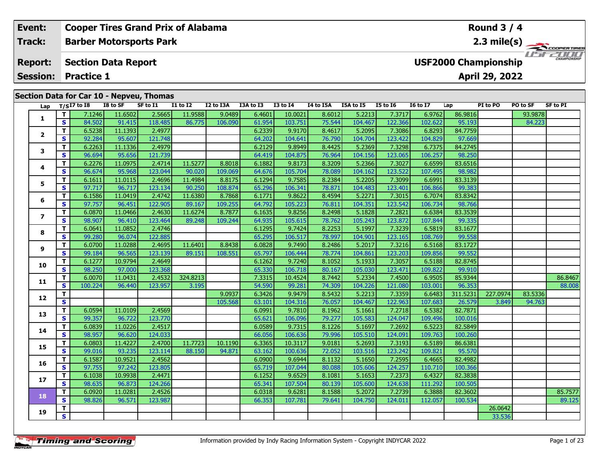|  | Event:                  |          |                            |          | <b>Cooper Tires Grand Prix of Alabama</b> |                 |           |           |              |                 |                  |                 |                 |                             | Round $3/4$    |          |                                                      |
|--|-------------------------|----------|----------------------------|----------|-------------------------------------------|-----------------|-----------|-----------|--------------|-----------------|------------------|-----------------|-----------------|-----------------------------|----------------|----------|------------------------------------------------------|
|  | Track:                  |          |                            |          | <b>Barber Motorsports Park</b>            |                 |           |           |              |                 |                  |                 |                 |                             |                |          | $2.3 \text{ mile(s)} \longrightarrow 2.3 \text{ cm}$ |
|  | <b>Report:</b>          |          | <b>Section Data Report</b> |          |                                           |                 |           |           |              |                 |                  |                 |                 | <b>USF2000 Championship</b> |                |          | $L = E$ CHAMPIONSHIP                                 |
|  | <b>Session:</b>         |          | <b>Practice 1</b>          |          |                                           |                 |           |           |              |                 |                  |                 |                 |                             | April 29, 2022 |          |                                                      |
|  |                         |          |                            |          | Section Data for Car 10 - Nepveu, Thomas  |                 |           |           |              |                 |                  |                 |                 |                             |                |          |                                                      |
|  |                         |          | Lap $T/SI7$ to 18          | I8 to SF | SF to I1                                  | <b>I1 to I2</b> | I2 to I3A | I3A to I3 | $I3$ to $I4$ | I4 to I5A       | <b>I5A to I5</b> | <b>I5 to 16</b> | <b>16 to 17</b> | Lap                         | PI to PO       | PO to SF | SF to PI                                             |
|  |                         |          | 7.1246                     | 11.6502  | 2.5665                                    | 11.9588         | 9.0489    | 6.4601    | 10.0021      | 8.6012          | 5.2213           | 7.3717          | 6.9762          | 86.9816                     |                | 93.9878  |                                                      |
|  |                         | <b>S</b> | 84.502                     | 91.415   | 118.485                                   | 86.775          | 106.090   | 61.954    | 103.751      | 75.544          | 104.467          | 122.366         | 102.622         | 95.193                      |                | 84.223   |                                                      |
|  |                         |          | 6.5238                     | 11.1393  | 2.4977                                    |                 |           | 6.2339    | 9.9170       | 8.4617          | 5.2095           | 7.3086          | 6.8293          | 84.7759                     |                |          |                                                      |
|  | $\overline{\mathbf{2}}$ | S.       | 92.284                     | 95.607   | 121.748                                   |                 |           | 64.2021   | 104.641      | 76.790 <b>L</b> | 104.704          | 123.422         | 104.829         | 97.669                      |                |          |                                                      |

| 3<br>S<br>T<br>4<br>S<br>T.    | 96.694<br>6.2276<br>96.674 | 95.656<br>11.0975 | 121.739 |          |         | 64.419 | 104.875 | 76.964 | 104.156 | 123.065 | 106.257 | 98.250   |          |         |         |
|--------------------------------|----------------------------|-------------------|---------|----------|---------|--------|---------|--------|---------|---------|---------|----------|----------|---------|---------|
|                                |                            |                   |         |          |         |        |         |        |         |         |         |          |          |         |         |
|                                |                            |                   | 2.4714  | 11.5277  | 8.8018  | 6.1882 | 9.8173  | 8.3209 | 5.2366  | 7.3027  | 6.6599  | 83.6516  |          |         |         |
|                                |                            | 95.968            | 123.044 | 90.020   | 109.069 | 64.676 | 105.704 | 78.089 | 104.162 | 123.522 | 107.495 | 98.982   |          |         |         |
|                                | 6.1611                     | 11.0115           | 2.4696  | 11.4984  | 8.8175  | 6.1294 | 9.7585  | 8.2384 | 5.2205  | 7.3099  | 6.6991  | 83.3139  |          |         |         |
| 5<br>S                         | 97.717                     | 96.717            | 123.134 | 90.250   | 108.874 | 65.296 | 106.341 | 78.871 | 104.483 | 123.401 | 106.866 | 99.383   |          |         |         |
| T.<br>6                        | 6.1586                     | 11.0419           | 2.4742  | 11.6380  | 8.7868  | 6.1771 | 9.8622  | 8.4594 | 5.2271  | 7.3015  | 6.7074  | 83.8342  |          |         |         |
| $\overline{\mathbf{s}}$        | 97.757                     | 96.451            | 122.905 | 89.167   | 109.255 | 64.792 | 105.223 | 76.811 | 104.351 | 123.542 | 106.734 | 98.766   |          |         |         |
| T.<br>$\overline{\phantom{a}}$ | 6.0870                     | 11.0466           | 2.4630  | 11.6274  | 8.7877  | 6.1635 | 9.8256  | 8.2498 | 5.1828  | 7.2821  | 6.6384  | 83.3539  |          |         |         |
| S                              | 98.907                     | 96.410            | 123.464 | 89.248   | 109.244 | 64.935 | 105.615 | 78.762 | 105.243 | 123.872 | 107.844 | 99.335   |          |         |         |
| T.<br>8                        | 6.0641                     | 11.0852           | 2.4746  |          |         | 6.1295 | 9.7424  | 8.2253 | 5.1997  | 7.3239  | 6.5819  | 83.1677  |          |         |         |
| S                              | 99.280                     | 96.074            | 122.885 |          |         | 65.295 | 106.517 | 78.997 | 104.901 | 123.165 | 108.769 | 99.558   |          |         |         |
| T.<br>9                        | 6.0700                     | 11.0288           | 2.4695  | 11.6401  | 8.8438  | 6.0828 | 9.7490  | 8.2486 | 5.2017  | 7.3216  | 6.5168  | 83.1727  |          |         |         |
| S                              | 99.184                     | 96.565            | 123.139 | 89.151   | 108.551 | 65.797 | 106.444 | 78.774 | 104.861 | 123.203 | 109.856 | 99.552   |          |         |         |
| T.<br>10                       | 6.1277                     | 10.9794           | 2.4649  |          |         | 6.1262 | 9.7240  | 8.1052 | 5.1933  | 7.3057  | 6.5188  | 82.8745  |          |         |         |
| $\overline{\mathbf{s}}$        | 98.250                     | 97.000            | 123.368 |          |         | 65.330 | 106.718 | 80.167 | 105.030 | 123.471 | 109.822 | 99.910   |          |         |         |
| T.                             | 6.0070                     | 11.0431           | 2.4532  | 324.8213 |         | 7.3315 | 10.4524 | 8.7442 | 5.2334  | 7.4500  | 6.9505  | 85.9344  |          |         | 86.8467 |
| 11<br>S<br>T.                  | 100.224                    | 96.440            | 123.957 | 3.195    |         | 54.590 | 99.281  | 74.309 | 104.226 | 121.080 | 103.001 | 96.353   |          |         | 88.008  |
| 12                             |                            |                   |         |          | 9.0937  | 6.3426 | 9.9479  | 8.5432 | 5.2213  | 7.3359  | 6.6483  | 311.5231 | 227.0974 | 83.5336 |         |
| S                              |                            |                   |         |          | 105.568 | 63.101 | 104.316 | 76.057 | 104.467 | 122.963 | 107.683 | 26.579   | 3.849    | 94.763  |         |
| T.<br>13                       | 6.0594                     | 11.0109           | 2.4569  |          |         | 6.0991 | 9.7810  | 8.1962 | 5.1661  | 7.2718  | 6.5382  | 82.7871  |          |         |         |
| S                              | 99.357                     | 96.722            | 123.770 |          |         | 65.621 | 106.096 | 79.277 | 105.583 | 124.047 | 109.496 | 100.016  |          |         |         |
| T.<br>14                       | 6.0839                     | 11.0226           | 2.4517  |          |         | 6.0589 | 9.7315  | 8.1226 | 5.1697  | 7.2692  | 6.5223  | 82.5849  |          |         |         |
| S                              | 98.957                     | 96.620            | 124.033 |          |         | 66.056 | 106.636 | 79.996 | 105.510 | 124.091 | 109.763 | 100.260  |          |         |         |
| T.<br>15                       | 6.0803                     | 11.4227           | 2.4700  | 11.7723  | 10.1190 | 6.3365 | 10.3117 | 9.0181 | 5.2693  | 7.3193  | 6.5189  | 86.6381  |          |         |         |
| S                              | 99.016                     | 93.235            | 123.114 | 88.150   | 94.871  | 63.162 | 100.636 | 72.052 | 103.516 | 123.242 | 109.821 | 95.570   |          |         |         |
| T.<br>16                       | 6.1587                     | 10.9521           | 2.4562  |          |         | 6.0900 | 9.6944  | 8.1132 | 5.1650  | 7.2595  | 6.4665  | 82.4982  |          |         |         |
| S                              | 97.755                     | 97.242            | 123.805 |          |         | 65.719 | 107.044 | 80.088 | 105.606 | 124.257 | 110.710 | 100.366  |          |         |         |
| T.<br>17                       | 6.1038                     | 10.9938           | 2.4471  |          |         | 6.1252 | 9.6529  | 8.1081 | 5.1653  | 7.2373  | 6.4327  | 82.3838  |          |         |         |
| S                              | 98.635                     | 96.873            | 124.266 |          |         | 65.341 | 107.504 | 80.139 | 105.600 | 124.638 | 111.292 | 100.505  |          |         |         |
| T.<br>18                       | 6.0920                     | 11.0281           | 2.4526  |          |         | 6.0318 | 9.6281  | 8.1588 | 5.2072  | 7.2739  | 6.3888  | 82.3602  |          |         | 85.7577 |
| S                              | 98.826                     | 96.571            | 123.987 |          |         | 66.353 | 107.781 | 79.641 | 104.750 | 124.011 | 112.057 | 100.534  |          |         | 89.125  |
| T.<br>19                       |                            |                   |         |          |         |        |         |        |         |         |         |          | 26.0642  |         |         |
| $\overline{\mathbf{s}}$        |                            |                   |         |          |         |        |         |        |         |         |         |          | 33.536   |         |         |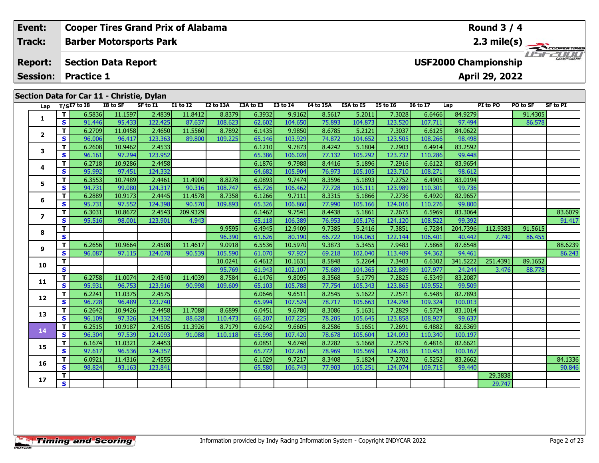| Event:          |    |                                           |                   | <b>Cooper Tires Grand Prix of Alabama</b> |                   |                   |                  |                   |                  |                   |                   |                   | Round $3/4$                 |                |                   |                     |
|-----------------|----|-------------------------------------------|-------------------|-------------------------------------------|-------------------|-------------------|------------------|-------------------|------------------|-------------------|-------------------|-------------------|-----------------------------|----------------|-------------------|---------------------|
| <b>Track:</b>   |    |                                           |                   | <b>Barber Motorsports Park</b>            |                   |                   |                  |                   |                  |                   |                   |                   |                             |                |                   | 2.3 mile(s)         |
| <b>Report:</b>  |    | <b>Section Data Report</b>                |                   |                                           |                   |                   |                  |                   |                  |                   |                   |                   | <b>USF2000 Championship</b> |                |                   | <b>CHAMPIONSHIP</b> |
| <b>Session:</b> |    | <b>Practice 1</b>                         |                   |                                           |                   |                   |                  |                   |                  |                   |                   |                   |                             | April 29, 2022 |                   |                     |
|                 |    | Section Data for Car 11 - Christie, Dylan |                   | SF to I1                                  | <b>I1 to I2</b>   | I2 to I3A         |                  | $I3$ to $I4$      |                  |                   |                   |                   |                             |                |                   |                     |
| Lap             |    | $T/SI7$ to $I8$                           | I8 to SF          |                                           |                   |                   | I3A to I3        |                   | I4 to I5A        | <b>I5A to I5</b>  | <b>I5 to I6</b>   | <b>I6 to I7</b>   | Lap                         | PI to PO       | PO to SF          | SF to PI            |
|                 |    | 6.5836<br>91.446                          | 11.1597<br>95.433 | 2.4839<br>122.425                         | 11.8412<br>87.637 | 8.8379<br>108.623 | 6.3932<br>62.602 | 9.9162<br>104.650 | 8.5617<br>75.893 | 5.2011<br>104.873 | 7.3028<br>123.520 | 6.6466<br>107.711 | 84.9279<br>97.494           |                | 91.4305<br>86.578 |                     |
|                 |    | 6.2709                                    | 11.0458           | 2.4650                                    | 11.5560           | 8.7892            | 6.1435           | 9.9850            | 8.6785           | 5.2121            | 7.3037            | 6.6125            | 84.0622                     |                |                   |                     |
|                 | S. | 96.006                                    | 96.417            | 123.363                                   | 89.800            | 109.225           | 65.146           | 103.929           | 74.872           | 104.652           | 123.505           | 108.266           | 98.498                      |                |                   |                     |

**<sup>T</sup>** 6.3031 10.8672 2.4543 209.9329 6.1462 9.7541 8.4438 5.1861 7.2675 6.5969 83.3064 83.6079 **<sup>S</sup>** 95.516 98.001 123.901 4.943 65.118 106.389 76.953 105.176 124.120 108.522 99.392 91.417

**<sup>T</sup>** 6.2608 10.9462 2.4533 6.1210 9.7873 8.4242 5.1804 7.2903 6.4914 83.2592 **<sup>S</sup>** 96.161 97.294 123.952 65.386 106.028 77.132 105.292 123.732 110.286 99.448

**<sup>T</sup>** 6.2718 10.9286 2.4458 6.1876 9.7988 8.4416 5.1896 7.2916 6.6122 83.9654 **<sup>S</sup>** 95.992 97.451 124.332 64.682 105.904 76.973 105.105 123.710 108.271 98.612

**<sup>T</sup>** 6.3553 10.7489 2.4461 11.4900 8.8278 6.0893 9.7474 8.3596 5.1893 7.2752 6.4905 83.0194 **<sup>S</sup>** 94.731 99.080 124.317 90.316 108.747 65.726 106.462 77.728 105.111 123.989 110.301 99.736

**<sup>T</sup>** 6.2889 10.9173 2.4445 11.4578 8.7358 6.1266 9.7111 8.3315 5.1866 7.2736 6.4920 82.9657 **<sup>S</sup>** 95.731 97.552 124.398 90.570 109.893 65.326 106.860 77.990 105.166 124.016 110.276 99.800

| 8  |    |        |         |         |                  | 9.95951  | 6.4945 | 12.94091 | 9.7385 | 5.2416  | 7.3851  | 6.7284  | 204.73961 | 112.9383 | 91.5615 |         |
|----|----|--------|---------|---------|------------------|----------|--------|----------|--------|---------|---------|---------|-----------|----------|---------|---------|
|    | S  |        |         |         |                  | 96.390   | 61.626 | 80.190   | 66.722 | 104.063 | 122.144 | 106.401 | 40.442    | 7.740    | 86.455  |         |
| q  |    | 6.2656 | 10.9664 | 2.4508  | 11.4617          | 9.0918   | 6.5536 | 10.5970  | 9.3873 | 5.3455  | 7.9483  | 7.5868  | 87.6548   |          |         | 88.6239 |
|    | S  | 96.087 | 97.115  | 124.078 | 90.539           | 105.590  | 61.070 | 97.927   | 69.218 | 102.040 | 113.489 | 94.362  | 94.461    |          |         | 86.243  |
| 0  |    |        |         |         |                  | 10.0241  | 6.4612 | 10.1631  | 8.5848 | 5.2264  | 7.3403  | 6.6302  | 341.5222  | 251.4391 | 89.1652 |         |
|    | S  |        |         |         |                  | 95.769   | 61.943 | 102.107  | 75.689 | 104.365 | 122.889 | 107.977 | 24.244    | 3.476    | 88.778  |         |
|    |    | 6.2758 | 11.0074 | 2.4540  | 11.4039          | 8.7584   | 6.1476 | 9.8095   | 8.3568 | 5.1779  | 7.2825  | 6.5349  | 83.2087   |          |         |         |
|    | S  | 95.931 | 96.753  | 123.916 | 90.998           | 109.609  | 65.103 | 105.788  | 77.754 | 105.343 | 123.865 | 109.552 | 99.509    |          |         |         |
|    |    | 6.2241 | 11.0375 | 2.4575  |                  |          | 6.0646 | 9.6511   | 8.2545 | 5.1622  | 7.2571  | 6.5485  | 82.7893   |          |         |         |
|    | S. | 96.728 | 96.489  | 123.740 |                  |          | 65.994 | 107.524  | 78.717 | 105.663 | 124.298 | 109.324 | 100.013   |          |         |         |
|    |    | 6.2642 | 10.9426 | 2.4458  | 11.7088          | 8.6899   | 6.0451 | 9.6780   | 8.3086 | 5.1631  | 7.2829  | 6.5724  | 83.1014   |          |         |         |
|    | S  | 96.109 | 97.326  | 124.332 | 88.628           | 110.4731 | 66.207 | 107.225  | 78.205 | 105.645 | 123.858 | 108.927 | 99.637    |          |         |         |
| 14 |    | 6.2515 | 10.9187 | 2.4505  | 11.3926 <b>1</b> | 8.7179   | 6.0642 | 9.6605   | 8.2586 | 5.1651  | 7.2691  | 6.4882  | 82.6369   |          |         |         |
|    | S  | 96.304 | 97.539  | 124.093 | 91.088           | 110.118  | 65.998 | 107.420  | 78.678 | 105.604 | 124.093 | 110.340 | 100.197   |          |         |         |
| 5  |    | 6.1674 | 11.0321 | 2.4453  |                  |          | 6.0851 | 9.6748   | 8.2282 | 5.1668  | 7.2579  | 6.4816  | 82.6621   |          |         |         |
|    | S. | 97.617 | 96.536  | 124.357 |                  |          | 65.772 | 107.261  | 78.969 | 105.569 | 124.285 | 110.453 | 100.167   |          |         |         |
| 6  |    | 6.0921 | 11.4316 | 2.4555  |                  |          | 6.1029 | 9.7217   | 8.3408 | 5.1824  | 7.2702  | 6.5252  | 83.2662   |          |         | 84.1336 |
|    | S. | 98.824 | 93.163  | 123.841 |                  |          | 65.580 | 106.743  | 77.903 | 105.251 | 124.074 | 109.715 | 99.440    |          |         | 90.846  |
|    |    |        |         |         |                  |          |        |          |        |         |         |         |           | 29.3838  |         |         |
|    | S  |        |         |         |                  |          |        |          |        |         |         |         |           | 29.747   |         |         |

**3**

**4**

**5**

**6**

**7**

**8**

**9**

**10**

**11**

**12**

**13**

**14**

**15**

**16**

**17**

91.417

98.612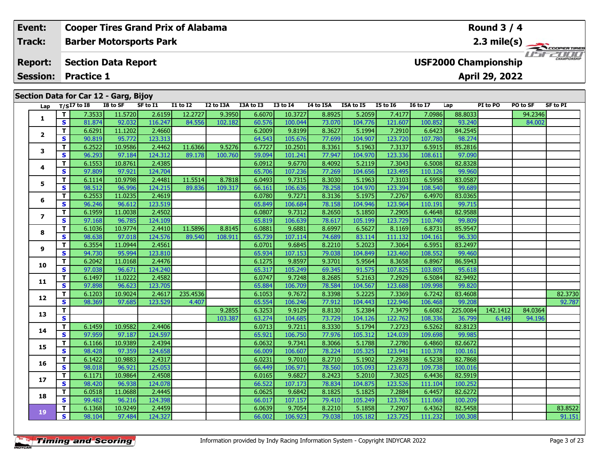|  | Event:                            |    |                   |                                       | <b>Cooper Tires Grand Prix of Alabama</b> |                 |           |           |              |           |           |                 |                 |                             | <b>Round 3 / 4</b> |          |                       |
|--|-----------------------------------|----|-------------------|---------------------------------------|-------------------------------------------|-----------------|-----------|-----------|--------------|-----------|-----------|-----------------|-----------------|-----------------------------|--------------------|----------|-----------------------|
|  | Track:                            |    |                   |                                       | <b>Barber Motorsports Park</b>            |                 |           |           |              |           |           |                 |                 |                             |                    |          | $2.3 \text{ mile(s)}$ |
|  | <b>Report:</b><br><b>Session:</b> |    | <b>Practice 1</b> | <b>Section Data Report</b>            |                                           |                 |           |           |              |           |           |                 |                 | <b>USF2000 Championship</b> | April 29, 2022     |          | CHAMPIONSHIP          |
|  |                                   |    |                   |                                       |                                           |                 |           |           |              |           |           |                 |                 |                             |                    |          |                       |
|  |                                   |    |                   | Section Data for Car 12 - Garg, Bijoy |                                           |                 |           |           |              |           |           |                 |                 |                             |                    |          |                       |
|  |                                   |    | Lap $T/SI7$ to I8 | I8 to SF                              | SF to I1                                  | <b>I1 to I2</b> | I2 to I3A | I3A to I3 | $I3$ to $I4$ | I4 to I5A | I5A to I5 | <b>I5 to 16</b> | <b>16 to 17</b> | Lap                         | PI to PO           | PO to SF | SF to PI              |
|  |                                   |    | 7.3533            | 11.5720                               | 2.6159                                    | 12.2727         | 9.3950    | 6.6070    | 10.3727      | 8.8925    | 5.2059    | 7.4177          | 7.0986          | 88.8033                     |                    | 94.2346  |                       |
|  | $\overline{2}$                    | S. | 81.874            | 92.032                                | 116.247                                   | 84.556          | 102.182   | 60.576    | 100.044      | 73.070    | 104.776   | 121.607         | 100.852         | 93.240                      |                    | 84.002   |                       |
|  |                                   |    | 6.6291            | 11.1202                               | 2.4660                                    |                 |           | 6.2009    | 9.8199       | 8.3627    | 5.1994    | 7.2910          | 6.6423          | 84.2545                     |                    |          |                       |
|  |                                   | S. | 90.819            | 95.772                                | 123.313                                   |                 |           | 64.543    | 105.676      | 77.699    | 104.907   | 123.720         | 107.780         | 98.274                      |                    |          |                       |
|  | 3                                 |    | 6.2522            | 10.9586                               | 2.4462                                    | 11.6366         | 9.5276    | 6.7727    | 10.2501      | 8.3361    | 5.1963    | 7.3137          | 6.5915          | 85.2816                     |                    |          |                       |
|  |                                   |    |                   |                                       |                                           |                 |           |           |              |           |           |                 |                 | $\frac{1}{2}$               |                    |          |                       |

| Lap            |                         | 1/217 to 19 | 10 10 JL | <b>SL 10 TT</b> | <b>TT 10 TT</b> | אכז חז זז | <b>TAG TO</b> | 12 10 14 | 14 to 15A | <b>TOW TO TO</b> | <b>13 10 10</b> | TO TO TV | ∟ap      | PI 10 PU | PU LO SF | SL fo kt |
|----------------|-------------------------|-------------|----------|-----------------|-----------------|-----------|---------------|----------|-----------|------------------|-----------------|----------|----------|----------|----------|----------|
| 1              | T.                      | 7.3533      | 11.5720  | 2.6159          | 12.2727         | 9.3950    | 6.6070        | 10.3727  | 8.8925    | 5.2059           | 7.4177          | 7.0986   | 88.8033  |          | 94.2346  |          |
|                | S                       | 81.874      | 92.032   | 116.247         | 84.556          | 102.182   | 60.576        | 100.044  | 73.070    | 104.776          | 121.607         | 100.852  | 93.240   |          | 84.002   |          |
| $\overline{2}$ | T.                      | 6.6291      | 11.1202  | 2.4660          |                 |           | 6.2009        | 9.8199   | 8.3627    | 5.1994           | 7.2910          | 6.6423   | 84.2545  |          |          |          |
|                | S                       | 90.819      | 95.772   | 123.313         |                 |           | 64.543        | 105.676  | 77.699    | 104.907          | 123.720         | 107.780  | 98.274   |          |          |          |
| 3              | T.                      | 6.2522      | 10.9586  | 2.4462          | 11.6366         | 9.5276    | 6.7727        | 10.2501  | 8.3361    | 5.1963           | 7.3137          | 6.5915   | 85.2816  |          |          |          |
|                | S                       | 96.293      | 97.184   | 124.312         | 89.178          | 100.760   | 59.094        | 101.241  | 77.947    | 104.970          | 123.336         | 108.611  | 97.090   |          |          |          |
| 4              | T.                      | 6.1553      | 10.8761  | 2.4385          |                 |           | 6.0912        | 9.6770   | 8.4092    | 5.2119           | 7.3043          | 6.5008   | 82.8328  |          |          |          |
|                | S                       | 97.809      | 97.921   | 124.704         |                 |           | 65.706        | 107.236  | 77.269    | 104.656          | 123.495         | 110.126  | 99.960   |          |          |          |
| 5              | T.                      | 6.1114      | 10.9798  | 2.4481          | 11.5514         | 8.7818    | 6.0493        | 9.7315   | 8.3030    | 5.1963           | 7.3103          | 6.5958   | 83.0587  |          |          |          |
|                | $\overline{\mathbf{s}}$ | 98.512      | 96.996   | 124.215         | 89.836          | 109.317   | 66.161        | 106.636  | 78.258    | 104.970          | 123.394         | 108.540  | 99.689   |          |          |          |
| 6              | T.                      | 6.2553      | 11.0235  | 2.4619          |                 |           | 6.0780        | 9.7271   | 8.3136    | 5.1975           | 7.2767          | 6.4970   | 83.0365  |          |          |          |
|                | S                       | 96.246      | 96.612   | 123.519         |                 |           | 65.849        | 106.684  | 78.158    | 104.946          | 123.964         | 110.191  | 99.715   |          |          |          |
| $\overline{ }$ | T.                      | 6.1959      | 11.0038  | 2.4502          |                 |           | 6.0807        | 9.7312   | 8.2650    | 5.1850           | 7.2905          | 6.4648   | 82.9588  |          |          |          |
|                | S                       | 97.168      | 96.785   | 124.109         |                 |           | 65.819        | 106.639  | 78.617    | 105.199          | 123.729         | 110.740  | 99.809   |          |          |          |
| 8              | T.                      | 6.1036      | 10.9774  | 2.4410          | 11.5896         | 8.8145    | 6.0881        | 9.6881   | 8.6997    | 6.5627           | 8.1169          | 6.8731   | 85.9547  |          |          |          |
|                | S                       | 98.638      | 97.018   | 124.576         | 89.540          | 108.911   | 65.739        | 107.114  | 74.689    | 83.114           | 111.132         | 104.161  | 96.330   |          |          |          |
| 9              | Τ.                      | 6.3554      | 11.0944  | 2.4561          |                 |           | 6.0701        | 9.6845   | 8.2210    | 5.2023           | 7.3064          | 6.5951   | 83.2497  |          |          |          |
|                | S                       | 94.730      | 95.994   | 123.810         |                 |           | 65.934        | 107.153  | 79.038    | 104.849          | 123.460         | 108.552  | 99.460   |          |          |          |
| 10             | T.                      | 6.2042      | 11.0168  | 2.4476          |                 |           | 6.1275        | 9.8597   | 9.3701    | 5.9564           | 8.3658          | 6.8967   | 86.5943  |          |          |          |
|                | $\overline{\mathbf{s}}$ | 97.038      | 96.671   | 124.240         |                 |           | 65.317        | 105.249  | 69.345    | 91.575           | 107.825         | 103.805  | 95.618   |          |          |          |
| 11             | T.                      | 6.1497      | 11.0222  | 2.4582          |                 |           | 6.0747        | 9.7248   | 8.2685    | 5.2163           | 7.2929          | 6.5084   | 82.9492  |          |          |          |
|                | S.                      | 97.898      | 96.623   | 123.705         |                 |           | 65.884        | 106.709  | 78.584    | 104.567          | 123.688         | 109.998  | 99.820   |          |          |          |
| 12             | T.                      | 6.1203      | 10.9024  | 2.4617          | 235.4536        |           | 6.1053        | 9.7672   | 8.3398    | 5.2225           | 7.3369          | 6.7242   | 83.4608  |          |          | 82.3730  |
|                | S.                      | 98.369      | 97.685   | 123.529         | 4.407           |           | 65.554        | 106.246  | 77.912    | 104.443          | 122.946         | 106.468  | 99.208   |          |          | 92.787   |
| 13             | T.                      |             |          |                 |                 | 9.2855    | 6.3253        | 9.9129   | 8.8130    | 5.2384           | 7.3479          | 6.6082   | 225.0084 | 142.1412 | 84.0364  |          |
|                | $\overline{\mathbf{s}}$ |             |          |                 |                 | 103.387   | 63.274        | 104.685  | 73.729    | 104.126          | 122.762         | 108.336  | 36.799   | 6.149    | 94.196   |          |
| 14             | T.                      | 6.1459      | 10.9582  | 2.4406          |                 |           | 6.0713        | 9.7211   | 8.3330    | 5.1794           | 7.2723          | 6.5262   | 82.8123  |          |          |          |
|                | S                       | 97.959      | 97.187   | 124.597         |                 |           | 65.921        | 106.750  | 77.976    | 105.312          | 124.039         | 109.698  | 99.985   |          |          |          |
| 15             | T.                      | 6.1166      | 10.9389  | 2.4394          |                 |           | 6.0632        | 9.7341   | 8.3066    | 5.1788           | 7.2780          | 6.4860   | 82.6672  |          |          |          |
|                | S                       | 98.428      | 97.359   | 124.658         |                 |           | 66.009        | 106.607  | 78.224    | 105.325          | 123.941         | 110.378  | 100.161  |          |          |          |
| 16             | T.                      | 6.1422      | 10.9883  | 2.4317          |                 |           | 6.0231        | 9.7010   | 8.2710    | 5.1902           | 7.2938          | 6.5238   | 82.7868  |          |          |          |
|                | $\overline{\mathbf{s}}$ | 98.018      | 96.921   | 125.053         |                 |           | 66.449        | 106.971  | 78.560    | 105.093          | 123.673         | 109.738  | 100.016  |          |          |          |
| 17             | T.                      | 6.1171      | 10.9864  | 2.4508          |                 |           | 6.0165        | 9.6827   | 8.2423    | 5.2010           | 7.3025          | 6.4436   | 82.5919  |          |          |          |
|                | S                       | 98.420      | 96.938   | 124.078         |                 |           | 66.522        | 107.173  | 78.834    | 104.875          | 123.526         | 111.104  | 100.252  |          |          |          |
| 18             | T.                      | 6.0518      | 11.0688  | 2.4445          |                 |           | 6.0625        | 9.6842   | 8.1825    | 5.1825           | 7.2884          | 6.4457   | 82.6272  |          |          |          |
|                | S                       | 99.482      | 96.216   | 124.398         |                 |           | 66.017        | 107.157  | 79.410    | 105.249          | 123.765         | 111.068  | 100.209  |          |          |          |
| 19             | T.                      | 6.1368      | 10.9249  | 2.4459          |                 |           | 6.0639        | 9.7054   | 8.2210    | 5.1858           | 7.2907          | 6.4362   | 82.5458  |          |          | 83.8522  |
|                | S.                      | 98.104      | 97.484   | 124.327         |                 |           | 66.002        | 106.923  | 79.038    | 105.182          | 123.725         | 111.232  | 100.308  |          |          | 91.151   |
|                |                         |             |          |                 |                 |           |               |          |           |                  |                 |          |          |          |          |          |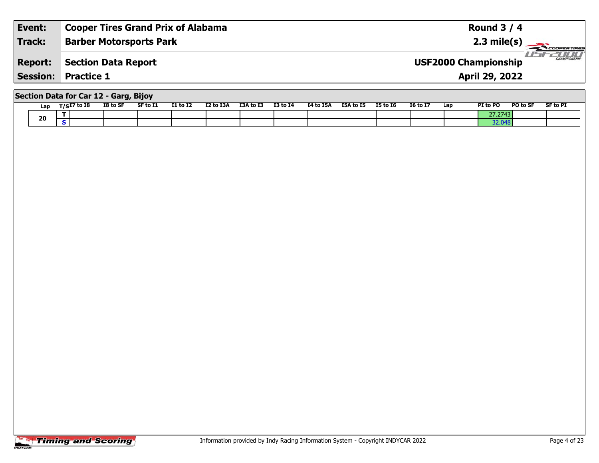| Event:         | <b>Cooper Tires Grand Prix of Alabama</b> | Round $3/4$                                        |
|----------------|-------------------------------------------|----------------------------------------------------|
| <b>Track:</b>  | <b>Barber Motorsports Park</b>            | $2.3 \text{ mile(s)}$                              |
| <b>Report:</b> | <b>Section Data Report</b>                | <b>CHAMPIONSHIP</b><br><b>USF2000 Championship</b> |
|                | <b>Session: Practice 1</b>                | <b>April 29, 2022</b>                              |
|                | Section Data for Car 12 - Garg, Bijoy     |                                                    |

| Lap | $T/SI7$ to I8 | I8 to SF | SF to I1 | <b>I1 to I2</b> | I2 to I3A | I3A to I3 | <b>I3 to I4</b> | I4 to I5A | I5A to I5 | <b>I5 to 16</b> | <b>16 to 17</b> | Lap | PI to PO | PO to SF | <b>SF to PI</b> |
|-----|---------------|----------|----------|-----------------|-----------|-----------|-----------------|-----------|-----------|-----------------|-----------------|-----|----------|----------|-----------------|
| 20  |               |          |          |                 |           |           |                 |           |           |                 |                 |     |          |          |                 |
|     |               |          |          |                 |           |           |                 |           |           |                 |                 |     |          |          |                 |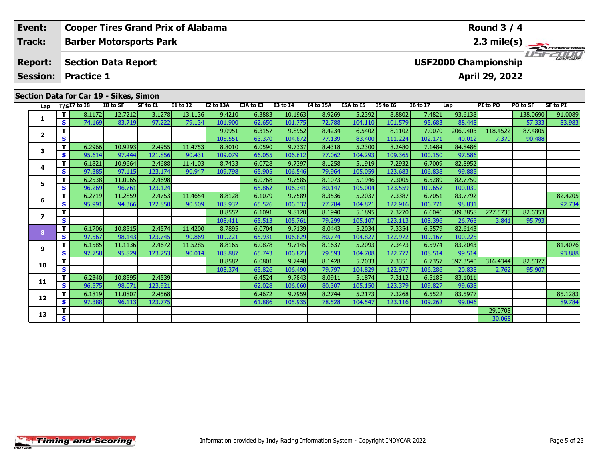| Event:         |    |                         |                   |                                                   |                                                                                                       |                                                                       |                                                                |                                                     |                                                |                                                  |                                               |                                                          |                                                           |                         |                                           |                                                                                                                                                                                                                                                                                                                                                                                                                                 |
|----------------|----|-------------------------|-------------------|---------------------------------------------------|-------------------------------------------------------------------------------------------------------|-----------------------------------------------------------------------|----------------------------------------------------------------|-----------------------------------------------------|------------------------------------------------|--------------------------------------------------|-----------------------------------------------|----------------------------------------------------------|-----------------------------------------------------------|-------------------------|-------------------------------------------|---------------------------------------------------------------------------------------------------------------------------------------------------------------------------------------------------------------------------------------------------------------------------------------------------------------------------------------------------------------------------------------------------------------------------------|
| <b>Track:</b>  |    |                         |                   |                                                   |                                                                                                       |                                                                       |                                                                |                                                     |                                                |                                                  |                                               |                                                          |                                                           |                         |                                           |                                                                                                                                                                                                                                                                                                                                                                                                                                 |
| <b>Report:</b> |    |                         |                   |                                                   |                                                                                                       |                                                                       |                                                                |                                                     |                                                |                                                  |                                               |                                                          |                                                           |                         |                                           | $\frac{1}{\sqrt{1-\frac{1}{2}}}\frac{1}{\sqrt{1-\frac{1}{2}}}\frac{1}{\sqrt{1-\frac{1}{2}}}\frac{1}{\sqrt{1-\frac{1}{2}}}\frac{1}{\sqrt{1-\frac{1}{2}}}\frac{1}{\sqrt{1-\frac{1}{2}}}\frac{1}{\sqrt{1-\frac{1}{2}}}\frac{1}{\sqrt{1-\frac{1}{2}}}\frac{1}{\sqrt{1-\frac{1}{2}}}\frac{1}{\sqrt{1-\frac{1}{2}}}\frac{1}{\sqrt{1-\frac{1}{2}}}\frac{1}{\sqrt{1-\frac{1}{2}}}\frac{1}{\sqrt{1-\frac{1}{2}}}\frac{1}{\sqrt{1-\frac{$ |
|                |    |                         |                   |                                                   |                                                                                                       |                                                                       |                                                                |                                                     |                                                |                                                  |                                               |                                                          |                                                           |                         |                                           |                                                                                                                                                                                                                                                                                                                                                                                                                                 |
|                |    |                         |                   |                                                   |                                                                                                       |                                                                       |                                                                |                                                     |                                                |                                                  |                                               |                                                          |                                                           |                         |                                           |                                                                                                                                                                                                                                                                                                                                                                                                                                 |
|                |    |                         |                   |                                                   |                                                                                                       | I2 to I3A                                                             |                                                                |                                                     |                                                | <b>I5A to I5</b>                                 |                                               |                                                          |                                                           |                         |                                           | SF to PI                                                                                                                                                                                                                                                                                                                                                                                                                        |
|                |    |                         |                   |                                                   |                                                                                                       |                                                                       |                                                                |                                                     |                                                |                                                  |                                               | 7.4821                                                   |                                                           |                         |                                           | 91.0089                                                                                                                                                                                                                                                                                                                                                                                                                         |
|                |    |                         |                   |                                                   |                                                                                                       |                                                                       | 62.650                                                         |                                                     |                                                |                                                  |                                               |                                                          |                                                           |                         |                                           | 83.983                                                                                                                                                                                                                                                                                                                                                                                                                          |
|                |    |                         |                   |                                                   |                                                                                                       |                                                                       |                                                                |                                                     |                                                |                                                  |                                               |                                                          |                                                           |                         |                                           |                                                                                                                                                                                                                                                                                                                                                                                                                                 |
|                | S. |                         |                   |                                                   |                                                                                                       |                                                                       | 63.370                                                         |                                                     |                                                |                                                  |                                               | 102.171                                                  | 40.012                                                    |                         |                                           |                                                                                                                                                                                                                                                                                                                                                                                                                                 |
|                | 2  | <b>Session:</b><br>is l | Lap $T/SI7$ to I8 | <b>Practice 1</b><br>I8 to SF<br>8.1172<br>74.169 | <b>Section Data Report</b><br>Section Data for Car 19 - Sikes, Simon<br>SF to I1<br>12.7212<br>83.719 | <b>Barber Motorsports Park</b><br><b>I1 to I2</b><br>3.1278<br>97.222 | <b>Cooper Tires Grand Prix of Alabama</b><br>13.1136<br>79.134 | I3A to I3<br>9.4210<br>101.900<br>9.0951<br>105.551 | <b>I3 to I4</b><br>6.3883<br>6.3157<br>104.872 | <b>I4 to I5A</b><br>10.1963<br>101.775<br>9.8952 | 8.9269<br>72.788<br>8.4234<br>77.139 <b>1</b> | <b>I5 to 16</b><br>5.2392<br>104.110<br>6.5402<br>83.400 | <b>16 to 17</b><br>8.8802<br>101.579<br>8.1102<br>111.224 | Lap<br>95.683<br>7.0070 | PI to PO<br>93.6138<br>88.448<br>206.9403 | Round $3/4$<br>$2.3 \text{ mile(s)}$<br><b>USF2000 Championship</b><br>April 29, 2022<br>PO to SF<br>138.0690<br>57.333<br>118.4522<br>87.4805<br>7.379<br>90.488                                                                                                                                                                                                                                                               |

**<sup>T</sup>** 6.2719 11.2859 2.4753 11.4654 8.8128 6.1079 9.7589 8.3536 5.2037 7.3387 6.7051 83.7792 82.4205 **<sup>S</sup>** 95.991 94.366 122.850 90.509 108.932 65.526 106.337 77.784 104.821 122.916 106.771 98.831 92.734

**<sup>T</sup>** 6.1585 11.1136 2.4672 11.5285 8.8165 6.0878 9.7145 8.1637 5.2093 7.3473 6.5974 83.2043 81.4076 **<sup>S</sup>** 97.758 95.829 123.253 90.014 108.887 65.743 106.823 79.593 104.708 122.772 108.514 99.514 93.888

1 6.1819| 11.0807| 2.4568| | | 6.4672| 9.7959| 8.2744| 5.2173| 7.3268| 6.5522| 83.5977| | | | 85.1283<br>| S 97.388| 96.113| 123.775 | | 61.886 105.935 78.528 104.547 123.116 109.262 99.046 | | 89.784

**<sup>T</sup>** 8.8552 6.1091 9.8120 8.1940 5.1895 7.3270 6.6046 309.3858 227.5735 82.6353 **<sup>S</sup>** 108.411 65.513 105.761 79.299 105.107 123.113 108.396 26.763 3.841 95.793

**<sup>T</sup>** 8.8582 6.0801 9.7448 8.1428 5.2033 7.3351 6.7357 397.3540 316.4344 82.5377 **<sup>S</sup>** 108.374 65.826 106.490 79.797 104.829 122.977 106.286 20.838 2.762 95.907

**<sup>T</sup>** 6.1706 10.8515 2.4574 11.4200 8.7895 6.0704 9.7139 8.0443 5.2034 7.3354 6.5579 82.6143 **<sup>S</sup>** 97.567 98.143 123.745 90.869 109.221 65.931 106.829 80.774 104.827 122.972 109.167 100.225

**<sup>T</sup>** 6.2340 10.8595 2.4539 6.4524 9.7843 8.0911 5.1874 7.3112 6.5185 83.1011 **<sup>S</sup>** 96.575 98.071 123.921 62.028 106.060 80.307 105.150 123.379 109.827 99.638

**<sup>T</sup>** 29.0708 **<sup>S</sup>** 30.068

| Lap          |   | $T/SI7$ to $I8$ | I8 to SF | SF to I1 | <b>I1 to I2</b> | I2 to I3A | I3A to I3 | <b>I3 to I4</b> | I4 to I5A | <b>I5A to I5</b> | <b>I5 to 16</b> | <b>16 to 17</b> | Lap      |
|--------------|---|-----------------|----------|----------|-----------------|-----------|-----------|-----------------|-----------|------------------|-----------------|-----------------|----------|
| 1            |   | 8.1172          | 12.7212  | 3.1278   | 13.1136         | 9.4210    | 6.3883    | 10.1963         | 8.9269    | 5.2392           | 8.8802          | 7.4821          | 93.6138  |
|              | s | 74.169          | 83.719   | 97.222   | 79.134          | 101.900   | 62.650    | 101.775         | 72.788    | 104.110          | 101.579         | 95.683          | 88.448   |
|              |   |                 |          |          |                 | 9.0951    | 6.3157    | 9.8952          | 8.4234    | 6.5402           | 8.1102          | 7.0070          | 206.9403 |
| $\mathbf{2}$ | Э |                 |          |          |                 | 105.551   | 63.370    | 104.872         | 77.139    | 83.400           | 111.224         | 102.171         | 40.012   |
| 3            |   | 6.2966          | 10.9293  | 2.4955   | 11.4753         | 8.8010    | 6.0590    | 9.7337          | 8.4318    | 5.2300           | 8.2480          | 7.1484          | 84.8486  |
|              | s | 95.614          | 97.444   | 121.856  | 90.431          | 109.079   | 66.055    | 106.612         | 77.062    | 104.293          | 109.365         | 100.150         | 97.586   |
| 4            |   | 6.1821          | 10.9664  | 2.4688   | 11.4103         | 8.7433    | 6.0728    | 9.7397          | 8.1258    | 5.1919           | 7.2932          | 6.7009          | 82.8952  |
|              | s | 97.385          | 97.115   | 123.1741 | 90.947          | 109.798   | 65.905    | 106.546         | 79.964    | 105.0591         | 123.683         | 106.838         | 99.885   |
| 5            |   | 6.2538          | 11.0065  | 2.4698   |                 |           | 6.0768    | 9.7585          | 8.1073    | 5.1946           | 7.3005          | 6.5289          | 82.7750  |
|              |   | 96.269          | 96.761   | 123.124  |                 |           | 65.862    | 106.341         | 80.147    | 105.004          | 123.559         | 109.652         | 100.030  |

**6**

**7**

**8**

**9**

**10**

**11**

**12**

**13**

93.888

89.784

95.793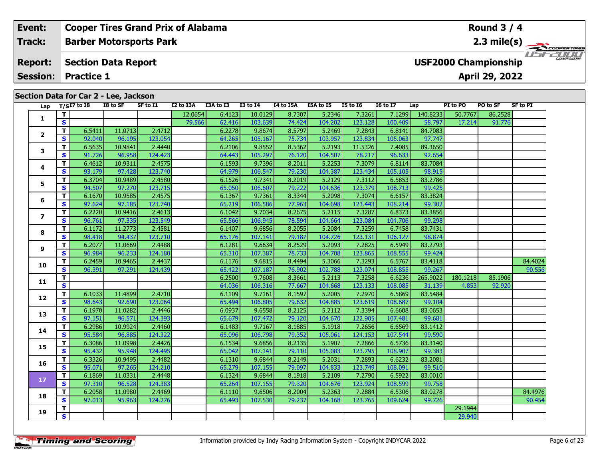### **Event: Cooper Tires Grand Prix of Alabama Round 3 / 4Track:Barber Motorsports Park 2.3 mile(s)** *IFFERINI* **Report: Section Data Report USF2000 Championship April 29, 2022 Session: Practice 1 Section Data for Car 2 - Lee, Jackson** Lap T/S<sup>I7</sup> to I8 I8 to SF SF to I1 I2 to I3A I3A to I3 I3 to I4 I4 to I5A I5A to I5 I5 to I6 I6 to I7 Lap PI to PO PO to SF SF to PI **<sup>T</sup>** 12.0654 6.4123 10.0129 8.7307 5.2346 7.3261 7.1299 140.8233 50.7767 86.2528 **<sup>S</sup>** 79.566 62.416 103.639 74.424 104.202 123.128 100.409 58.797 17.214 91.776**1 <sup>T</sup>** 6.5411 11.0713 2.4712 6.2278 9.8674 8.5797 5.2469 7.2843 6.8141 84.7083 **<sup>S</sup>** 92.040 96.195 123.054 64.265 105.167 75.734 103.957 123.834 105.063 97.747**2**

|                          | T                       |        |         |         | 12.0654 | 6.4123 | 10.0129 | 8.7307 | 5.2346  | 7.3261  | 7.1299  | 140.8233 | 50.7767  | 86.2528 |         |
|--------------------------|-------------------------|--------|---------|---------|---------|--------|---------|--------|---------|---------|---------|----------|----------|---------|---------|
| 1                        | $\overline{\mathbf{s}}$ |        |         |         | 79.566  | 62.416 | 103.639 | 74.424 | 104.202 | 123.128 | 100.409 | 58.797   | 17.214   | 91.776  |         |
|                          | T                       | 6.5411 | 11.0713 | 2.4712  |         | 6.2278 | 9.8674  | 8.5797 | 5.2469  | 7.2843  | 6.8141  | 84.7083  |          |         |         |
| $\overline{\mathbf{2}}$  | $\mathbf{s}$            | 92.040 | 96.195  | 123.054 |         | 64.265 | 105.167 | 75.734 | 103.957 | 123.834 | 105.063 | 97.747   |          |         |         |
| 3                        | T                       | 6.5635 | 10.9841 | 2.4440  |         | 6.2106 | 9.8552  | 8.5362 | 5.2193  | 11.5326 | 7.4085  | 89.3650  |          |         |         |
|                          | $\mathbf{s}$            | 91.726 | 96.958  | 124.423 |         | 64.443 | 105.297 | 76.120 | 104.507 | 78.217  | 96.633  | 92.654   |          |         |         |
| 4                        | T                       | 6.4612 | 10.9311 | 2.4575  |         | 6.1593 | 9.7396  | 8.2011 | 5.2253  | 7.3079  | 6.8114  | 83.7084  |          |         |         |
|                          | $\mathbf{s}$            | 93.179 | 97.428  | 123.740 |         | 64.979 | 106.547 | 79.230 | 104.387 | 123.434 | 105.105 | 98.915   |          |         |         |
| 5                        | T.                      | 6.3704 | 10.9489 | 2.4580  |         | 6.1526 | 9.7341  | 8.2019 | 5.2129  | 7.3112  | 6.5853  | 83.2786  |          |         |         |
|                          | $\mathbf{s}$            | 94.507 | 97.270  | 123.715 |         | 65.050 | 106.607 | 79.222 | 104.636 | 123.379 | 108.713 | 99.425   |          |         |         |
| 6                        | T                       | 6.1670 | 10.9585 | 2.4575  |         | 6.1367 | 9.7361  | 8.3344 | 5.2098  | 7.3074  | 6.6157  | 83.3824  |          |         |         |
|                          | $\mathbf{s}$            | 97.624 | 97.185  | 123.740 |         | 65.219 | 106.586 | 77.963 | 104.698 | 123.443 | 108.214 | 99.302   |          |         |         |
| $\overline{\phantom{a}}$ | T.                      | 6.2220 | 10.9416 | 2.4613  |         | 6.1042 | 9.7034  | 8.2675 | 5.2115  | 7.3287  | 6.8373  | 83.3856  |          |         |         |
|                          | S                       | 96.761 | 97.335  | 123.549 |         | 65.566 | 106.945 | 78.594 | 104.664 | 123.084 | 104.706 | 99.298   |          |         |         |
| 8                        | T                       | 6.1172 | 11.2773 | 2.4581  |         | 6.1407 | 9.6856  | 8.2055 | 5.2084  | 7.3259  | 6.7458  | 83.7431  |          |         |         |
|                          | $\mathbf{s}$            | 98.418 | 94.437  | 123.710 |         | 65.176 | 107.141 | 79.187 | 104.726 | 123.131 | 106.127 | 98.874   |          |         |         |
| 9                        | T                       | 6.2077 | 11.0669 | 2.4488  |         | 6.1281 | 9.6634  | 8.2529 | 5.2093  | 7.2825  | 6.5949  | 83.2793  |          |         |         |
|                          | S                       | 96.984 | 96.233  | 124.180 |         | 65.310 | 107.387 | 78.733 | 104.708 | 123.865 | 108.555 | 99.424   |          |         |         |
| 10                       | T                       | 6.2459 | 10.9465 | 2.4437  |         | 6.1176 | 9.6815  | 8.4494 | 5.3066  | 7.3293  | 6.5767  | 83.4118  |          |         | 84.4024 |
|                          | $\mathbf{s}$            | 96.391 | 97.291  | 124.439 |         | 65.422 | 107.187 | 76.902 | 102.788 | 123.074 | 108.855 | 99.267   |          |         | 90.556  |
| 11                       | T                       |        |         |         |         | 6.2500 | 9.7608  | 8.3661 | 5.2113  | 7.3258  | 6.6236  | 265.9022 | 180.1218 | 85.1906 |         |
|                          | $\overline{\mathbf{s}}$ |        |         |         |         | 64.036 | 106.316 | 77.667 | 104.668 | 123.133 | 108.085 | 31.139   | 4.853    | 92.920  |         |
| 12                       | T                       | 6.1033 | 11.4899 | 2.4710  |         | 6.1109 | 9.7161  | 8.1597 | 5.2005  | 7.2970  | 6.5869  | 83.5484  |          |         |         |
|                          | $\mathbf{s}$            | 98.643 | 92.690  | 123.064 |         | 65.494 | 106.805 | 79.632 | 104.885 | 123.619 | 108.687 | 99.104   |          |         |         |
| 13                       | T                       | 6.1970 | 11.0282 | 2.4446  |         | 6.0937 | 9.6558  | 8.2125 | 5.2112  | 7.3394  | 6.6608  | 83.0653  |          |         |         |
|                          | $\mathbf{s}$            | 97.151 | 96.571  | 124.393 |         | 65.679 | 107.472 | 79.120 | 104.670 | 122.905 | 107.481 | 99.681   |          |         |         |
| 14                       | T.                      | 6.2986 | 10.9924 | 2.4460  |         | 6.1483 | 9.7167  | 8.1885 | 5.1918  | 7.2656  | 6.6569  | 83.1412  |          |         |         |
|                          | $\mathbf{s}$            | 95.584 | 96.885  | 124.322 |         | 65.096 | 106.798 | 79.352 | 105.061 | 124.153 | 107.544 | 99.590   |          |         |         |
| 15                       | T                       | 6.3086 | 11.0998 | 2.4426  |         | 6.1534 | 9.6856  | 8.2135 | 5.1907  | 7.2866  | 6.5736  | 83.3140  |          |         |         |
|                          | S                       | 95.432 | 95.948  | 124.495 |         | 65.042 | 107.141 | 79.110 | 105.083 | 123.795 | 108.907 | 99.383   |          |         |         |
| 16                       | T                       | 6.3326 | 10.9495 | 2.4482  |         | 6.1310 | 9.6844  | 8.2149 | 5.2031  | 7.2893  | 6.6232  | 83.2081  |          |         |         |
|                          | $\mathbf{s}$            | 95.071 | 97.265  | 124.210 |         | 65.279 | 107.155 | 79.097 | 104.833 | 123.749 | 108.091 | 99.510   |          |         |         |
| $17$                     | T.                      | 6.1869 | 11.0331 | 2.4448  |         | 6.1324 | 9.6844  | 8.1918 | 5.2109  | 7.2790  | 6.5922  | 83.0010  |          |         |         |
|                          | $\mathbf{s}$            | 97.310 | 96.528  | 124.383 |         | 65.264 | 107.155 | 79.320 | 104.676 | 123.924 | 108.599 | 99.758   |          |         |         |
| 18                       | T.                      | 6.2058 | 11.0980 | 2.4469  |         | 6.1110 | 9.6506  | 8.2004 | 5.2363  | 7.2884  | 6.5306  | 83.0278  |          |         | 84.4976 |
|                          | $\mathbf{s}$            | 97.013 | 95.963  | 124.276 |         | 65.493 | 107.530 | 79.237 | 104.168 | 123.765 | 109.624 | 99.726   |          |         | 90.454  |
| 19                       | T                       |        |         |         |         |        |         |        |         |         |         |          | 29.1944  |         |         |
|                          | $\overline{\mathbf{s}}$ |        |         |         |         |        |         |        |         |         |         |          | 29.940   |         |         |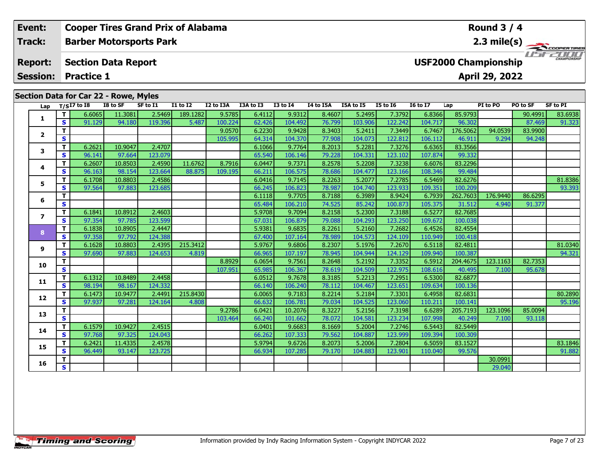| Event:          |    |                   |                                       | <b>Cooper Tires Grand Prix of Alabama</b> |                 |           |           |                 |                  |                  |                 |                 |          | Round $3/4$                 |          |                         |  |
|-----------------|----|-------------------|---------------------------------------|-------------------------------------------|-----------------|-----------|-----------|-----------------|------------------|------------------|-----------------|-----------------|----------|-----------------------------|----------|-------------------------|--|
| Track:          |    |                   |                                       | <b>Barber Motorsports Park</b>            |                 |           |           |                 |                  |                  |                 |                 |          |                             |          | $2.3 \text{ mile(s)}$   |  |
| <b>Report:</b>  |    |                   | <b>Section Data Report</b>            |                                           |                 |           |           |                 |                  |                  |                 |                 |          | <b>USF2000 Championship</b> |          | <b>THE CHAMPIONSHIP</b> |  |
| <b>Session:</b> |    | <b>Practice 1</b> |                                       |                                           |                 |           |           |                 |                  |                  |                 |                 |          | <b>April 29, 2022</b>       |          |                         |  |
|                 |    |                   | Section Data for Car 22 - Rowe, Myles |                                           |                 |           |           |                 |                  |                  |                 |                 |          |                             |          |                         |  |
| Lap             |    | T/SI7 to I8       | I8 to SF                              | SF to I1                                  | <b>I1 to I2</b> | I2 to I3A | I3A to I3 | <b>I3 to I4</b> | <b>I4 to I5A</b> | <b>I5A to I5</b> | <b>I5 to I6</b> | <b>I6 to I7</b> | Lap      | PI to PO                    | PO to SF | SF to PI                |  |
|                 |    | 6.6065            | 11.3081                               | 2.5469                                    | 189.1282        | 9.5785    | 6.4112    | 9.9312          | 8.4607           | 5.2495           | 7.3792          | 6.8366          | 85.9793  |                             | 90.4991  | 83.6938                 |  |
|                 | S. | 91.129            | 94.180                                | 119.396                                   | 5.487           | 100.224   | 62.426    | 104.492         | 76.799           | 103.906          | 122.242         | 104.717         | 96.302   |                             | 87.469   | 91.323                  |  |
|                 |    |                   |                                       |                                           |                 | 9.0570    | 6.2230    | 9.9428          | 8.3403           | 5.2411           | 7.3449          | 6.7467          | 176.5062 | 94.0539                     | 83.9900  |                         |  |

| 1            | T.                      | 6.6065 | 11.3081 | 2.5469  | 189.1282 | 9.5785  | 6.4112 | 9.9312  | 8.4607 | 5.2495  | 7.3792  | 6.8366  | 85.9793  |          | 90.4991 | 83.6938 |
|--------------|-------------------------|--------|---------|---------|----------|---------|--------|---------|--------|---------|---------|---------|----------|----------|---------|---------|
|              | S                       | 91.129 | 94.180  | 119.396 | 5.487    | 100.224 | 62.426 | 104.492 | 76.799 | 103.906 | 122.242 | 104.717 | 96.302   |          | 87.469  | 91.323  |
| $\mathbf{2}$ | Т                       |        |         |         |          | 9.0570  | 6.2230 | 9.9428  | 8.3403 | 5.2411  | 7.3449  | 6.7467  | 176.5062 | 94.0539  | 83.9900 |         |
|              | S                       |        |         |         |          | 105.995 | 64.314 | 104.370 | 77.908 | 104.073 | 122.812 | 106.112 | 46.911   | 9.294    | 94.248  |         |
| 3            | $\mathbf{T}$            | 6.2621 | 10.9047 | 2.4707  |          |         | 6.1066 | 9.7764  | 8.2013 | 5.2281  | 7.3276  | 6.6365  | 83.3566  |          |         |         |
|              | S                       | 96.141 | 97.664  | 123.079 |          |         | 65.540 | 106.146 | 79.228 | 104.331 | 123.102 | 107.874 | 99.332   |          |         |         |
| 4            | T                       | 6.2607 | 10.8503 | 2.4590  | 11.6762  | 8.7916  | 6.0447 | 9.7371  | 8.2578 | 5.2208  | 7.3238  | 6.6076  | 83.2296  |          |         |         |
|              | S                       | 96.163 | 98.154  | 123.664 | 88.875   | 109.195 | 66.211 | 106.575 | 78.686 | 104.477 | 123.166 | 108.346 | 99.484   |          |         |         |
| 5            | T                       | 6.1708 | 10.8803 | 2.4586  |          |         | 6.0416 | 9.7145  | 8.2263 | 5.2077  | 7.2785  | 6.5469  | 82.6276  |          |         | 81.8386 |
|              | S                       | 97.564 | 97.883  | 123.685 |          |         | 66.245 | 106.823 | 78.987 | 104.740 | 123.933 | 109.351 | 100.209  |          |         | 93.393  |
| 6            | $\mathbf{T}$            |        |         |         |          |         | 6.1118 | 9.7705  | 8.7188 | 6.3989  | 8.9424  | 6.7939  | 262.7603 | 176.9440 | 86.6295 |         |
|              | $\mathbf{s}$            |        |         |         |          |         | 65.484 | 106.210 | 74.525 | 85.242  | 100.873 | 105.375 | 31.512   | 4.940    | 91.377  |         |
| 7            | T                       | 6.1841 | 10.8912 | 2.4603  |          |         | 5.9708 | 9.7094  | 8.2158 | 5.2300  | 7.3188  | 6.5277  | 82.7685  |          |         |         |
|              | S                       | 97.354 | 97.785  | 123.599 |          |         | 67.031 | 106.879 | 79.088 | 104.293 | 123.250 | 109.672 | 100.038  |          |         |         |
| 8            | T                       | 6.1838 | 10.8905 | 2.4447  |          |         | 5.9381 | 9.6835  | 8.2261 | 5.2160  | 7.2682  | 6.4526  | 82.4554  |          |         |         |
|              | S                       | 97.358 | 97.792  | 124.388 |          |         | 67.400 | 107.164 | 78.989 | 104.573 | 124.109 | 110.949 | 100.418  |          |         |         |
| 9            | T                       | 6.1628 | 10.8803 | 2.4395  | 215.3412 |         | 5.9767 | 9.6806  | 8.2307 | 5.1976  | 7.2670  | 6.5118  | 82.4811  |          |         | 81.0340 |
|              | S                       | 97.690 | 97.883  | 124.653 | 4.819    |         | 66.965 | 107.197 | 78.945 | 104.944 | 124.129 | 109.940 | 100.387  |          |         | 94.321  |
| 10           | $\mathbf{T}$            |        |         |         |          | 8.8929  | 6.0654 | 9.7561  | 8.2648 | 5.2192  | 7.3352  | 6.5912  | 204.4675 | 123.1163 | 82.7353 |         |
|              | $\mathbf{s}$            |        |         |         |          | 107.951 | 65.985 | 106.367 | 78.619 | 104.509 | 122.975 | 108.616 | 40.495   | 7.100    | 95.678  |         |
| 11           | Т                       | 6.1312 | 10.8489 | 2.4458  |          |         | 6.0512 | 9.7678  | 8.3185 | 5.2213  | 7.2951  | 6.5300  | 82.6877  |          |         |         |
|              | $\mathbf{s}$            | 98.194 | 98.167  | 124.332 |          |         | 66.140 | 106.240 | 78.112 | 104.467 | 123.651 | 109.634 | 100.136  |          |         |         |
| 12           | T                       | 6.1473 | 10.9477 | 2.4491  | 215.8430 |         | 6.0065 | 9.7183  | 8.2214 | 5.2184  | 7.3301  | 6.4958  | 82.6831  |          |         | 80.2890 |
|              | S                       | 97.937 | 97.281  | 124.164 | 4.808    |         | 66.632 | 106.781 | 79.034 | 104.525 | 123.060 | 110.211 | 100.141  |          |         | 95.196  |
| 13           | T                       |        |         |         |          | 9.2786  | 6.0421 | 10.2076 | 8.3227 | 5.2156  | 7.3198  | 6.6289  | 205.7193 | 123.1096 | 85.0094 |         |
|              | S                       |        |         |         |          | 103.464 | 66.240 | 101.662 | 78.072 | 104.581 | 123.234 | 107.998 | 40.249   | 7.100    | 93.118  |         |
| 14           | T                       | 6.1579 | 10.9427 | 2.4515  |          |         | 6.0401 | 9.6683  | 8.1669 | 5.2004  | 7.2746  | 6.5443  | 82.5449  |          |         |         |
|              | $\mathbf{s}$            | 97.768 | 97.325  | 124.043 |          |         | 66.262 | 107.333 | 79.562 | 104.887 | 123.999 | 109.394 | 100.309  |          |         |         |
| 15           | т                       | 6.2421 | 11.4335 | 2.4578  |          |         | 5.9794 | 9.6726  | 8.2073 | 5.2006  | 7.2804  | 6.5059  | 83.1527  |          |         | 83.1846 |
|              | S                       | 96.449 | 93.147  | 123.725 |          |         | 66.934 | 107.285 | 79.170 | 104.883 | 123.901 | 110.040 | 99.576   |          |         | 91.882  |
| 16           | т                       |        |         |         |          |         |        |         |        |         |         |         |          | 30.0991  |         |         |
|              | $\overline{\mathbf{s}}$ |        |         |         |          |         |        |         |        |         |         |         |          | 29.040   |         |         |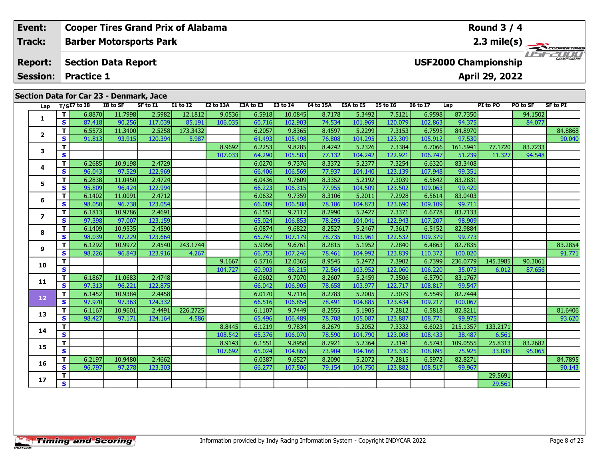| Event:                            |    |                                                 |          | <b>Cooper Tires Grand Prix of Alabama</b> |                 |           |           |              |           |                  |                 |                 |                             | Round $3/4$    |          |                       |
|-----------------------------------|----|-------------------------------------------------|----------|-------------------------------------------|-----------------|-----------|-----------|--------------|-----------|------------------|-----------------|-----------------|-----------------------------|----------------|----------|-----------------------|
| Track:                            |    |                                                 |          | <b>Barber Motorsports Park</b>            |                 |           |           |              |           |                  |                 |                 |                             |                |          | $2.3 \text{ mile(s)}$ |
| <b>Report:</b><br><b>Session:</b> |    | <b>Section Data Report</b><br><b>Practice 1</b> |          |                                           |                 |           |           |              |           |                  |                 |                 | <b>USF2000 Championship</b> | April 29, 2022 |          | <b>CHAMPIONSHIP</b>   |
|                                   |    |                                                 |          |                                           |                 |           |           |              |           |                  |                 |                 |                             |                |          |                       |
|                                   |    | Section Data for Car 23 - Denmark, Jace         |          |                                           |                 |           |           |              |           |                  |                 |                 |                             |                |          |                       |
| Lap                               |    | $T/SI7$ to I8                                   | I8 to SF | SF to I1                                  | <b>I1 to I2</b> | I2 to I3A | I3A to I3 | $I3$ to $I4$ | I4 to I5A | <b>I5A to I5</b> | <b>I5 to 16</b> | <b>I6 to I7</b> | Lap                         | PI to PO       | PO to SF | SF to PI              |
|                                   |    | 6.8870                                          | 11.7998  | 2.5982                                    | 12.1812         | 9.0536    | 6.5918    | 10.0845      | 8.7178    | 5.3492           | 7.5121          | 6.9598          | 87.7350                     |                | 94.1502  |                       |
|                                   | S. | 87.418                                          | 90.256   | 117.039                                   | 85.191          | 106.035   | 60.716    | 102.903      | 74.534    | 101.969          | 120.079         | 102.863         | 94.375                      |                | 84.077   |                       |
| $\mathbf{2}$                      |    | 6.5573                                          | 11.3400  | 2.5258                                    | 173.3432        |           | 6.2057    | 9.8365       | 8.4597    | 5.2299           | 7.3153          | 6.7595          | 84.8970                     |                |          | 84.8868               |
|                                   |    | 91.813                                          | 93.915   | 120.394                                   | 5.987           |           | 64.493    | 105.498      | 76.808    | 104.295          | 123.309         | 105.912         | 97.530                      |                |          | 90.040                |

# **<sup>T</sup>** 8.9692 6.2253 9.8285 8.4242 5.2326 7.3384 6.7066 161.5941 77.1720 83.7233 **<sup>S</sup>** 107.033 64.290 105.583 77.132 104.242 122.921 106.747 51.239 11.327 94.548 **<sup>T</sup>** 6.2685 10.9198 2.4729 6.0270 9.7376 8.3372 5.2377 7.3254 6.6320 83.3408 **<sup>S</sup>** 96.043 97.529 122.969 66.406 106.569 77.937 104.140 123.139 107.948 99.35199.351 **<sup>T</sup>** 6.2838 11.0450 2.4724 6.0436 9.7609 8.3352 5.2192 7.3039 6.5642 83.2831 **<sup>S</sup>** 95.809 96.424 122.994 66.223 106.315 77.955 104.509 123.502 109.063 99.420 **<sup>T</sup>** 6.1402 11.0091 2.4712 6.0632 9.7359 8.3106 5.2011 7.2928 6.5614 83.0403 **<sup>S</sup>** 98.050 96.738 123.054 66.009 106.588 78.186 104.873 123.690 109.109 99.711 **<sup>T</sup>** 6.1813 10.9786 2.4691 6.1551 9.7117 8.2990 5.2427 7.3371 6.6778 83.7133 **<sup>S</sup>** 97.398 97.007 123.159 65.024 106.853 78.295 104.041 122.943 107.207 98.909 **<sup>T</sup>** 6.1409 10.9535 2.4590 6.0874 9.6822 8.2527 5.2467 7.3617 6.5452 82.9884 **<sup>S</sup>** 98.039 97.229 123.664 65.747 107.179 78.735 103.961 122.532 109.379 99.773 **<sup>T</sup>** 6.1292 10.9972 2.4540 243.1744 5.9956 9.6761 8.2815 5.1952 7.2840 6.4863 82.7835 83.2854 **<sup>S</sup>** 98.226 96.843 123.916 4.267 66.753 107.246 78.461 104.992 123.839 110.372 100.020 91.771 **<sup>T</sup>** 9.1667 6.5716 12.0365 8.9545 5.2472 7.3902 6.7399 236.0779 145.3985 90.3061 **<sup>S</sup>** 104.727 60.903 86.215 72.564 103.952 122.060 106.220 35.073 6.012 87.656**11 <sup>T</sup>** 6.1867 11.0683 2.4748 6.0602 9.7070 8.2607 5.2459 7.3506 6.5790 83.1767 **<sup>S</sup>** 97.313 96.221 122.875 66.042 106.905 78.658 103.977 122.717 108.817 99.547**12 <sup>T</sup>** 6.1452 10.9384 2.4458 6.0170 9.7116 8.2783 5.2005 7.3079 6.5549 82.7444 **<sup>S</sup>** 97.970 97.363 124.332 66.516 106.854 78.491 104.885 123.434 109.217 100.067 **<sup>T</sup>** 6.1167 10.9601 2.4491 226.2725 6.1107 9.7449 8.2555 5.1905 7.2812 6.5818 82.8211 81.6406 **<sup>S</sup>** 98.427 97.171 124.164 4.586 65.496 106.489 78.708 105.087 123.887 108.771 99.975 93.620**14 <sup>T</sup>** 8.8445 6.1219 9.7834 8.2679 5.2052 7.3332 6.6023 215.1357 133.2171 **<sup>S</sup>** 108.542 65.376 106.070 78.590 104.790 123.008 108.433 38.487 6.5616.561 **15<sup>T</sup>** 8.9143 6.1551 9.8958 8.7921 5.2364 7.3141 6.5743 109.0555 25.8313 83.2682 **<sup>S</sup>** 107.692 65.024 104.865 73.904 104.166 123.330 108.895 75.925 33.838 95.065

**<sup>T</sup>** 29.5691 **<sup>S</sup>** 29.561

**3**

**4**

**5**

**6**

**7**

**8**

**9**

**10**

**13**

**16**

**17**

**<sup>T</sup>** 6.2197 10.9480 2.4662 6.0387 9.6527 8.2090 5.2072 7.2815 6.5972 82.8271 84.7895 **<sup>S</sup>** 96.797 97.278 123.303 66.277 107.506 79.154 104.750 123.882 108.517 99.967 90.143

90.040

91.771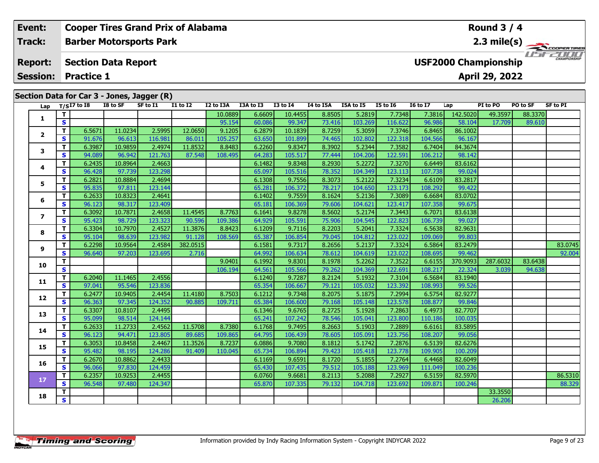#### **Event: Cooper Tires Grand Prix of Alabama Round 3 / 4Track:Barber Motorsports Park 2.3 mile(s)** COOPERTIRES WSFZOOD, **Section Data Report Report: USF2000 Championship April 29, 2022 Session: Practice 1 Section Data for Car 3 - Jones, Jagger (R)**<br>Lap  $T/S17$  to 18 18 to SF SF to 11 1 **Lap T/SI7 to I8 I8 to SF SF to I1 I1 to I2 I2 to I3A I3A to I3 I3 to I4 I4 to I5A I5A to I5 I5 to I6 I6 to I7 Lap PI to PO PO to SF SF to PI <sup>T</sup>** 10.0889 6.6609 10.4455 8.8505 5.2819 7.7348 7.3816 142.5020 49.3597 88.3370 **<sup>S</sup>** 95.154 60.086 99.347 73.416 103.269 116.622 96.986 58.104 17.709 89.610**1 <sup>T</sup>** 6.5671 11.0234 2.5995 12.0650 9.1205 6.2879 10.1839 8.7259 5.3059 7.3746 6.8465 86.1002 **<sup>S</sup>** 91.676 96.613 116.981 86.011 105.257 63.650 101.899 74.465 102.802 122.318 104.566 96.167**2 <sup>T</sup>** 6.3987 10.9859 2.4974 11.8532 8.8483 6.2260 9.8347 8.3902 5.2344 7.3582 6.7404 84.3674 **<sup>S</sup>** 94.089 96.942 121.763 87.548 108.495 64.283 105.517 77.444 104.206 122.591 106.212 98.142**3**

| 1   |              |        |         |         |          | 10.0889 | 6.6609 | 10.4455 | 8.8505 | 5.2819  | 7.7348  | 7.3816  | 142.5020 | 49.3597  | 88.3370 |         |
|-----|--------------|--------|---------|---------|----------|---------|--------|---------|--------|---------|---------|---------|----------|----------|---------|---------|
|     | S            |        |         |         |          | 95.154  | 60.086 | 99.347  | 73.416 | 103.269 | 116.622 | 96.986  | 58.104   | 17.709   | 89.610  |         |
| 2   | T.           | 6.5671 | 11.0234 | 2.5995  | 12.0650  | 9.1205  | 6.2879 | 10.1839 | 8.7259 | 5.3059  | 7.3746  | 6.8465  | 86.1002  |          |         |         |
|     | S            | 91.676 | 96.613  | 116.981 | 86.011   | 105.257 | 63.650 | 101.899 | 74.465 | 102.802 | 122.318 | 104.566 | 96.167   |          |         |         |
| 3   | т            | 6.3987 | 10.9859 | 2.4974  | 11.8532  | 8.8483  | 6.2260 | 9.8347  | 8.3902 | 5.2344  | 7.3582  | 6.7404  | 84.3674  |          |         |         |
|     | S            | 94.089 | 96.942  | 121.763 | 87.548   | 108.495 | 64.283 | 105.517 | 77.444 | 104.206 | 122.591 | 106.212 | 98.142   |          |         |         |
| 4   | т            | 6.2435 | 10.8964 | 2.4663  |          |         | 6.1482 | 9.8348  | 8.2930 | 5.2272  | 7.3270  | 6.6449  | 83.6162  |          |         |         |
|     | $\mathbf s$  | 96.428 | 97.739  | 123.298 |          |         | 65.097 | 105.516 | 78.352 | 104.349 | 123.113 | 107.738 | 99.024   |          |         |         |
| 5   | т            | 6.2821 | 10.8884 | 2.4694  |          |         | 6.1308 | 9.7556  | 8.3073 | 5.2122  | 7.3234  | 6.6109  | 83.2817  |          |         |         |
|     | S            | 95.835 | 97.811  | 123.144 |          |         | 65.281 | 106.372 | 78.217 | 104.650 | 123.173 | 108.292 | 99.422   |          |         |         |
| 6   | T.           | 6.2633 | 10.8323 | 2.4641  |          |         | 6.1402 | 9.7559  | 8.1624 | 5.2136  | 7.3089  | 6.6684  | 83.0702  |          |         |         |
|     | S            | 96.123 | 98.317  | 123.409 |          |         | 65.181 | 106.369 | 79.606 | 104.621 | 123.417 | 107.358 | 99.675   |          |         |         |
| 7   | T.           | 6.3092 | 10.7871 | 2.4658  | 11.4545  | 8.7763  | 6.1641 | 9.8278  | 8.5602 | 5.2174  | 7.3443  | 6.7071  | 83.6138  |          |         |         |
|     | S            | 95.423 | 98.729  | 123.323 | 90.596   | 109.386 | 64.929 | 105.591 | 75.906 | 104.545 | 122.823 | 106.739 | 99.027   |          |         |         |
| 8   | T.           | 6.3304 | 10.7970 | 2.4527  | 11.3876  | 8.8423  | 6.1209 | 9.7116  | 8.2203 | 5.2041  | 7.3324  | 6.5638  | 82.9631  |          |         |         |
|     | S            | 95.104 | 98.639  | 123.982 | 91.128   | 108.569 | 65.387 | 106.854 | 79.045 | 104.812 | 123.022 | 109.069 | 99.803   |          |         |         |
| 9   | $\mathbf{T}$ | 6.2298 | 10.9564 | 2.4584  | 382.0515 |         | 6.1581 | 9.7317  | 8.2656 | 5.2137  | 7.3324  | 6.5864  | 83.2479  |          |         | 83.0745 |
|     | S            | 96.640 | 97.203  | 123.695 | 2.716    |         | 64.992 | 106.634 | 78.612 | 104.619 | 123.022 | 108.695 | 99.462   |          |         | 92.004  |
| LO. | T.           |        |         |         |          | 9.0401  | 6.1992 | 9.8301  | 8.1978 | 5.2262  | 7.3522  | 6.6155  | 370,9093 | 287.6032 | 83.6438 |         |
|     | $\mathbf{s}$ |        |         |         |          | 106.194 | 64.561 | 105.566 | 79.262 | 104.369 | 122.691 | 108.217 | 22.324   | 3.039    | 94.638  |         |
| L1. | T.           | 6.2040 | 11.1465 | 2.4556  |          |         | 6.1240 | 9.7287  | 8.2124 | 5.1932  | 7.3104  | 6.5684  | 83.1940  |          |         |         |
|     | S            | 97.041 | 95.546  | 123.836 |          |         | 65.354 | 106.667 | 79.121 | 105.032 | 123.392 | 108.993 | 99.526   |          |         |         |
| L2  | т            | 6.2477 | 10.9405 | 2.4454  | 11.4180  | 8.7503  | 6.1212 | 9.7348  | 8.2075 | 5.1875  | 7.2994  | 6.5754  | 82.9277  |          |         |         |
|     | $\mathbf{s}$ | 96.363 | 97.345  | 124.352 | 90.885   | 109.711 | 65.384 | 106.600 | 79.168 | 105.148 | 123.578 | 108.877 | 99.846   |          |         |         |
| L3  | T.           | 6.3307 | 10.8107 | 2.4495  |          |         | 6.1346 | 9.6765  | 8.2725 | 5.1928  | 7.2863  | 6.4973  | 82.7707  |          |         |         |
|     | $\mathbf{s}$ | 95.099 | 98.514  | 124.144 |          |         | 65.241 | 107.242 | 78.546 | 105.041 | 123.800 | 110.186 | 100.035  |          |         |         |
| ι4  | T.           | 6.2633 | 11.2733 | 2.4562  | 11.5708  | 8.7380  | 6.1768 | 9.7495  | 8.2663 | 5.1903  | 7.2889  | 6.6161  | 83.5895  |          |         |         |
|     | S            | 96.123 | 94.471  | 123.805 | 89.685   | 109.865 | 64.795 | 106.439 | 78.605 | 105.091 | 123.756 | 108.207 | 99.056   |          |         |         |
| 15  | T.           | 6.3053 | 10.8458 | 2.4467  | 11.3526  | 8.7237  | 6.0886 | 9.7080  | 8.1812 | 5.1742  | 7.2876  | 6.5139  | 82.6276  |          |         |         |
|     | $\mathbf{s}$ | 95.482 | 98.195  | 124.286 | 91.409   | 110.045 | 65.734 | 106.894 | 79.423 | 105.418 | 123,778 | 109.905 | 100.209  |          |         |         |
| L6  | T.           | 6.2670 | 10.8862 | 2.4433  |          |         | 6.1169 | 9.6591  | 8.1720 | 5.1855  | 7.2764  | 6.4468  | 82.6049  |          |         |         |
|     | S            | 96.066 | 97.830  | 124.459 |          |         | 65.430 | 107.435 | 79.512 | 105.188 | 123.969 | 111.049 | 100.236  |          |         |         |
| 17  | T.           | 6.2357 | 10.9253 | 2.4455  |          |         | 6.0760 | 9.6681  | 8.2113 | 5.2088  | 7.2927  | 6.5159  | 82.5970  |          |         | 86.5310 |
|     | S            | 96.548 | 97.480  | 124.347 |          |         | 65.870 | 107.335 | 79.132 | 104.718 | 123.692 | 109.871 | 100.246  |          |         | 88.329  |

**R**  $\begin{array}{|c|c|c|c|c|c|}\n\hline\n\text{S} & \text{S} & \text{S} & \text{S} & \text{S} & \text{S} & \text{S} \\
\hline\n\text{S} & \text{S} & \text{S} & \text{S} & \text{S} & \text{S} \\
\hline\n\end{array}$ 

**4**

**5**

**6**

**7**

**8**

**9**

**10**

**11**

**12**

**13**

**14**

**15**

**16**

**17**

**18**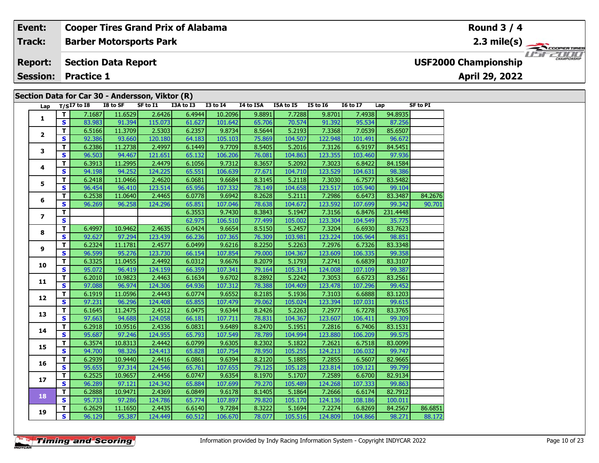### **Section Data for Car 30 - Andersson, Viktor (R) Barber Motorsports Park Section Data Report April 29, 2022 Event: Cooper Tires Grand Prix of Alabama Track: Report: Session: Practice 1 USF2000 Championship** 2.3 mile(s)  **Round 3 / 4**

| Lap            |              | $T/SI7$ to I8 | I8 to SF | SF to I1 | I3A to I3 | <b>I3 to I4</b> | I4 to I5A | I5A to I5 | <b>I5 to I6</b> | <b>16 to 17</b> | Lap      | SF to PI |
|----------------|--------------|---------------|----------|----------|-----------|-----------------|-----------|-----------|-----------------|-----------------|----------|----------|
|                | T.           | 7.1687        | 11.6529  | 2.6426   | 6.4944    | 10.2096         | 9.8891    | 7.7288    | 9.8701          | 7.4938          | 94.8935  |          |
| 1              | <b>S</b>     | 83.983        | 91.394   | 115.073  | 61.627    | 101.642         | 65.706    | 70.574    | 91.392          | 95.534          | 87.256   |          |
|                | T.           | 6.5166        | 11.3709  | 2.5303   | 6.2357    | 9.8734          | 8.5644    | 5.2193    | 7.3368          | 7.0539          | 85.6507  |          |
| $\mathbf{2}$   | $\mathbf{s}$ | 92.386        | 93.660   | 120.180  | 64.183    | 105.103         | 75.869    | 104.507   | 122.948         | 101.491         | 96.672   |          |
|                | T.           | 6.2386        | 11.2738  | 2.4997   | 6.1449    | 9.7709          | 8.5405    | 5.2016    | 7.3126          | 6.9197          | 84.5451  |          |
| 3              | $\mathbf{s}$ | 96.503        | 94.467   | 121.651  | 65.132    | 106.206         | 76.081    | 104.863   | 123.355         | 103.460         | 97.936   |          |
|                | T.           | 6.3913        | 11.2995  | 2.4479   | 6.1056    | 9.7312          | 8.3657    | 5.2092    | 7.3023          | 6.8422          | 84.1584  |          |
| 4              | $\mathbf{s}$ | 94.198        | 94.252   | 124.225  | 65.551    | 106.639         | 77.671    | 104.710   | 123.529         | 104.631         | 98.386   |          |
|                | T.           | 6.2418        | 11.0466  | 2.4620   | 6.0681    | 9.6684          | 8.3145    | 5.2118    | 7.3030          | 6.7577          | 83.5482  |          |
| 5              | $\mathbf{s}$ | 96.454        | 96.410   | 123.514  | 65.956    | 107.332         | 78.149    | 104.658   | 123.517         | 105.940         | 99.104   |          |
|                | T.           | 6.2538        | 11.0640  | 2.4465   | 6.0778    | 9.6942          | 8.2628    | 5.2111    | 7.2986          | 6.6473          | 83.3487  | 84.2676  |
| 6              | $\mathbf{s}$ | 96.269        | 96.258   | 124.296  | 65.851    | 107.046         | 78.638    | 104.672   | 123.592         | 107.699         | 99.342   | 90.701   |
|                | $\mathbf{T}$ |               |          |          | 6.3553    | 9.7430          | 8.3843    | 5.1947    | 7.3156          | 6.8476          | 231.4448 |          |
| $\overline{ }$ | $\mathbf{s}$ |               |          |          | 62.975    | 106.510         | 77.499    | 105.002   | 123.304         | 104.549         | 35.775   |          |
|                | T.           | 6.4997        | 10.9462  | 2.4635   | 6.0424    | 9.6654          | 8.5150    | 5.2457    | 7.3204          | 6.6930          | 83.7623  |          |
| 8              | S            | 92.627        | 97.294   | 123.439  | 66.236    | 107.365         | 76.309    | 103.981   | 123.224         | 106.964         | 98.851   |          |
|                | T            | 6.2324        | 11.1781  | 2.4577   | 6.0499    | 9.6216          | 8.2250    | 5.2263    | 7.2976          | 6.7326          | 83.3348  |          |
| 9              | $\mathbf{s}$ | 96.599        | 95.276   | 123.730  | 66.154    | 107.854         | 79.000    | 104.367   | 123.609         | 106.335         | 99.358   |          |
|                | T.           | 6.3325        | 11.0455  | 2.4492   | 6.0312    | 9.6676          | 8.2079    | 5.1793    | 7.2741          | 6.6839          | 83.3107  |          |
| 10             | $\mathbf{s}$ | 95.072        | 96.419   | 124.159  | 66.359    | 107.341         | 79.164    | 105.314   | 124.008         | 107.109         | 99.387   |          |
|                | T.           | 6.2010        | 10.9823  | 2.4463   | 6.1634    | 9.6702          | 8.2892    | 5.2242    | 7.3053          | 6.6723          | 83.2561  |          |
| 11             | $\mathbf{s}$ | 97.088        | 96.974   | 124.306  | 64.936    | 107.312         | 78.388    | 104.409   | 123.478         | 107.296         | 99.452   |          |
|                | T.           | 6.1919        | 11.0596  | 2.4443   | 6.0774    | 9.6552          | 8.2185    | 5.1936    | 7.3103          | 6.6888          | 83.1203  |          |
| 12             | S            | 97.231        | 96.296   | 124.408  | 65.855    | 107.479         | 79.062    | 105.024   | 123.394         | 107.031         | 99.615   |          |
|                | T            | 6.1645        | 11.2475  | 2.4512   | 6.0475    | 9.6344          | 8.2426    | 5.2263    | 7.2977          | 6.7278          | 83.3765  |          |
| 13             | $\mathbf{s}$ | 97.663        | 94.688   | 124.058  | 66.181    | 107.711         | 78.831    | 104.367   | 123.607         | 106.411         | 99.309   |          |
|                | T            | 6.2918        | 10.9516  | 2.4336   | 6.0831    | 9.6489          | 8.2470    | 5.1951    | 7.2816          | 6.7406          | 83.1531  |          |
| 14             | $\mathbf{s}$ | 95.687        | 97.246   | 124.955  | 65.793    | 107.549         | 78.789    | 104.994   | 123.880         | 106.209         | 99.575   |          |
|                | T            | 6.3574        | 10.8313  | 2.4442   | 6.0799    | 9.6305          | 8.2302    | 5.1822    | 7.2621          | 6.7518          | 83.0099  |          |
| 15             | $\mathbf{s}$ | 94.700        | 98.326   | 124.413  | 65.828    | 107.754         | 78.950    | 105.255   | 124.213         | 106.032         | 99.747   |          |
|                | T            | 6.2939        | 10.9440  | 2.4416   | 6.0861    | 9.6394          | 8.2120    | 5.1885    | 7.2855          | 6.5607          | 82.9665  |          |
| 16             | $\mathbf{s}$ | 95.655        | 97.314   | 124.546  | 65.761    | 107.655         | 79.125    | 105.128   | 123.814         | 109.121         | 99.799   |          |
|                | T.           | 6.2525        | 10.9657  | 2.4456   | 6.0747    | 9.6354          | 8.1970    | 5.1707    | 7.2589          | 6.6700          | 82.9134  |          |
| 17             | $\mathbf{s}$ | 96.289        | 97.121   | 124.342  | 65.884    | 107.699         | 79.270    | 105.489   | 124.268         | 107.333         | 99.863   |          |
|                | T.           | 6.2888        | 10.9471  | 2.4369   | 6.0849    | 9.6178          | 8.1405    | 5.1864    | 7.2666          | 6.6174          | 82.7912  |          |
| 18             | $\mathbf{s}$ | 95.733        | 97.286   | 124.786  | 65.774    | 107.897         | 79.820    | 105.170   | 124.136         | 108.186         | 100.011  |          |
|                | T.           | 6.2629        | 11.1650  | 2.4435   | 6.6140    | 9.7284          | 8.3222    | 5.1694    | 7.2274          | 6.8269          | 84.2567  | 86.6851  |
| 19             | $\mathbf{s}$ | 96.129        | 95.387   | 124.449  | 60.512    | 106.670         | 78.077    | 105.516   | 124.809         | 104.866         | 98.271   | 88.172   |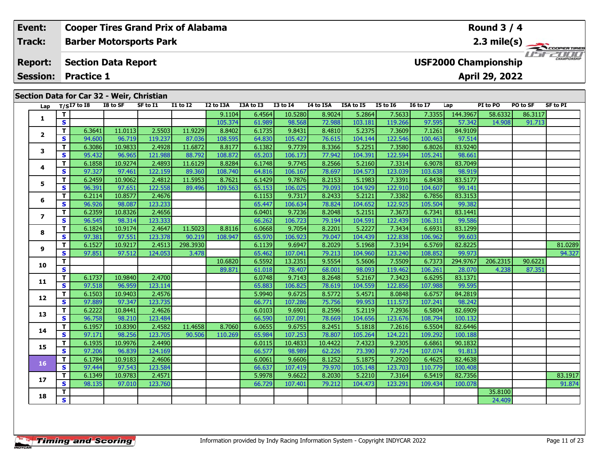#### **Event: Cooper Tires Grand Prix of Alabama Round 3 / 4Track:Barber Motorsports Park 2.3 mile(s)** *IFFERING* **Report: Section Data Report USF2000 Championship April 29, 2022 Session: Practice 1 Section Data for Car 32 - Weir, Christian Lap T/SI7 to I8 I8 to SF** SF to I1 **I1** to I2 I2 to I3A I3A to I3 I3 to I4 I4 to I5A I5A to I5 I5 to 16 16 to I7 Lap PI to PO PO to SF SF to PI **144 2007** PO to SF SF to PI **144 2007** г **<sup>T</sup>** 9.1104 6.4564 10.5280 8.9024 5.2864 7.5633 7.3355 144.3967 58.6332 86.3117 **<sup>S</sup>** 105.374 61.989 98.568 72.988 103.181 119.266 97.595 57.342 14.908 91.713**1**

| 1                        | п.                      |        |         |         |          | 9.1104  | 6.4564 | 10.5280 | 8.9024  | 5.2864  | 7.5633  | 7.33551 | 144.3907 | 58.6332  | 86.3117 |         |
|--------------------------|-------------------------|--------|---------|---------|----------|---------|--------|---------|---------|---------|---------|---------|----------|----------|---------|---------|
|                          | $\mathbf{s}$            |        |         |         |          | 105.374 | 61.989 | 98.568  | 72.988  | 103.181 | 119.266 | 97.595  | 57.342   | 14.908   | 91.713  |         |
| $\overline{2}$           | T                       | 6.3641 | 11.0113 | 2.5503  | 11.9229  | 8.8402  | 6.1735 | 9.8431  | 8.4810  | 5.2375  | 7.3609  | 7.1261  | 84.9109  |          |         |         |
|                          | $\mathbf{s}$            | 94.600 | 96.719  | 119.237 | 87.036   | 108.595 | 64.830 | 105.427 | 76.615  | 104.144 | 122.546 | 100.463 | 97.514   |          |         |         |
| 3                        | Т                       | 6.3086 | 10.9833 | 2.4928  | 11.6872  | 8.8177  | 6.1382 | 9.7739  | 8.3366  | 5.2251  | 7.3580  | 6.8026  | 83.9240  |          |         |         |
|                          | S                       | 95.432 | 96.965  | 121.988 | 88.792   | 108.872 | 65.203 | 106.173 | 77.942  | 104.391 | 122.594 | 105.241 | 98.661   |          |         |         |
|                          | $\mathbf{T}$            | 6.1858 | 10.9274 | 2.4893  | 11.6129  | 8.8284  | 6.1748 | 9.7745  | 8.2566  | 5.2160  | 7.3314  | 6.9078  | 83.7049  |          |         |         |
| 4                        | $\mathbf{s}$            | 97.327 | 97.461  | 122.159 | 89.360   | 108.740 | 64.816 | 106.167 | 78.697  | 104.573 | 123.039 | 103.638 | 98.919   |          |         |         |
| 5                        | $\mathbf T$             | 6.2459 | 10.9062 | 2.4812  | 11.5953  | 8.7621  | 6.1429 | 9.7876  | 8.2153  | 5.1983  | 7.3391  | 6.8438  | 83.5177  |          |         |         |
|                          | $\mathbf{s}$            | 96.391 | 97.651  | 122.558 | 89.496   | 109.563 | 65.153 | 106.025 | 79.093  | 104.929 | 122.910 | 104.607 | 99.141   |          |         |         |
|                          | T                       | 6.2114 | 10.8577 | 2.4676  |          |         | 6.1153 | 9.7317  | 8.2433  | 5.2121  | 7.3382  | 6.7856  | 83.3153  |          |         |         |
| 6                        | S                       | 96.926 | 98.087  | 123.233 |          |         | 65.447 | 106.634 | 78.824  | 104.652 | 122.925 | 105.504 | 99.382   |          |         |         |
|                          | $\mathbf T$             | 6.2359 | 10.8326 | 2.4656  |          |         | 6.0401 | 9.7236  | 8.2048  | 5.2151  | 7.3673  | 6.7341  | 83.1441  |          |         |         |
| $\overline{\phantom{a}}$ | S                       | 96.545 | 98.314  | 123.333 |          |         | 66.262 | 106.723 | 79.194  | 104.591 | 122.439 | 106.311 | 99.586   |          |         |         |
|                          | $\mathbf T$             | 6.1824 | 10.9174 | 2.4647  | 11.5023  | 8.8116  | 6.0668 | 9.7054  | 8.2201  | 5.2227  | 7.3434  | 6.6931  | 83.1299  |          |         |         |
| 8                        | S                       | 97.381 | 97.551  | 123.378 | 90.219   | 108.947 | 65.970 | 106.923 | 79.047  | 104.439 | 122.838 | 106.962 | 99.603   |          |         |         |
|                          | $\mathbf{T}$            | 6.1527 | 10.9217 | 2.4513  | 298.3930 |         | 6.1139 | 9.6947  | 8.2029  | 5.1968  | 7.3194  | 6.5769  | 82.8225  |          |         | 81.0289 |
| 9                        | $\mathbf{s}$            | 97.851 | 97.512  | 124.053 | 3.478    |         | 65.462 | 107.041 | 79.213  | 104.960 | 123.240 | 108.852 | 99.973   |          |         | 94.327  |
|                          | $\mathbf T$             |        |         |         |          | 10.6820 | 6.5592 | 13.2351 | 9.5554  | 5.5606  | 7.5509  | 6.7373  | 294.9767 | 206.2315 | 90.6221 |         |
| 10                       | S                       |        |         |         |          | 89.871  | 61.018 | 78.407  | 68.001  | 98.093  | 119.462 | 106.261 | 28.070   | 4.238    | 87.351  |         |
| 11                       | $\mathbf T$             | 6.1737 | 10.9840 | 2.4700  |          |         | 6.0748 | 9.7143  | 8.2648  | 5.2167  | 7.3423  | 6.6295  | 83.1371  |          |         |         |
|                          | S                       | 97.518 | 96.959  | 123.114 |          |         | 65.883 | 106.825 | 78.619  | 104.559 | 122.856 | 107.988 | 99.595   |          |         |         |
| 12                       | $\mathbf{T}$            | 6.1503 | 10.9403 | 2.4576  |          |         | 5.9940 | 9.6725  | 8.5772  | 5.4571  | 8.0848  | 6.6757  | 84.2819  |          |         |         |
|                          | $\mathbf{s}$            | 97.889 | 97.347  | 123.735 |          |         | 66.771 | 107.286 | 75.756  | 99.953  | 111.573 | 107.241 | 98.242   |          |         |         |
| 13                       | T                       | 6.2222 | 10.8441 | 2.4626  |          |         | 6.0103 | 9.6901  | 8.2596  | 5.2119  | 7.2936  | 6.5804  | 82.6909  |          |         |         |
|                          | $\mathbf{s}$            | 96.758 | 98.210  | 123.484 |          |         | 66.590 | 107.091 | 78.669  | 104.656 | 123.676 | 108.794 | 100.132  |          |         |         |
| 14                       | T                       | 6.1957 | 10.8390 | 2.4582  | 11.4658  | 8.7060  | 6.0655 | 9.6755  | 8.2451  | 5.1818  | 7.2616  | 6.5504  | 82.6446  |          |         |         |
|                          | S                       | 97.171 | 98.256  | 123.705 | 90.506   | 110.269 | 65.984 | 107.253 | 78.807  | 105.264 | 124.221 | 109.292 | 100.188  |          |         |         |
| 15                       | T                       | 6.1935 | 10.9976 | 2.4490  |          |         | 6.0115 | 10.4833 | 10.4422 | 7.4323  | 9.2305  | 6.6861  | 90.1832  |          |         |         |
|                          | $\mathbf{s}$            | 97.206 | 96.839  | 124.169 |          |         | 66.577 | 98.989  | 62.226  | 73.390  | 97.724  | 107.074 | 91.813   |          |         |         |
| 16                       | T                       | 6.1784 | 10.9183 | 2.4606  |          |         | 6.0061 | 9.6606  | 8.1252  | 5.1875  | 7.2920  | 6.4625  | 82.4638  |          |         |         |
|                          | $\mathbf{s}$            | 97.444 | 97.543  | 123.584 |          |         | 66.637 | 107.419 | 79.970  | 105.148 | 123.703 | 110.779 | 100.408  |          |         |         |
|                          | T                       | 6.1349 | 10.9783 | 2.4571  |          |         | 5.9978 | 9.6622  | 8.2030  | 5.2210  | 7.3164  | 6.5419  | 82.7356  |          |         | 83.1917 |
| 17                       | $\mathbf{s}$            | 98.135 | 97.010  | 123.760 |          |         | 66.729 | 107.401 | 79.212  | 104.473 | 123.291 | 109.434 | 100.078  |          |         | 91.874  |
|                          | T                       |        |         |         |          |         |        |         |         |         |         |         |          | 35.8100  |         |         |
| 18                       | $\overline{\mathbf{s}}$ |        |         |         |          |         |        |         |         |         |         |         |          | 24.409   |         |         |
|                          |                         |        |         |         |          |         |        |         |         |         |         |         |          |          |         |         |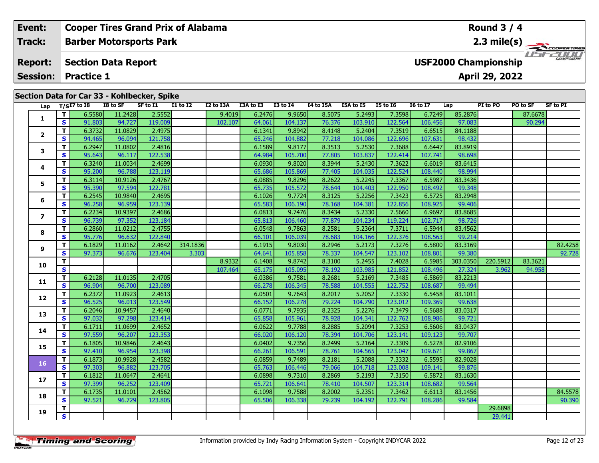| Event:                            |    |                   | <b>Cooper Tires Grand Prix of Alabama</b>   |          |                 |           |           |                 |                  |                  |                 |                             |         | Round $3/4$    |          |                       |
|-----------------------------------|----|-------------------|---------------------------------------------|----------|-----------------|-----------|-----------|-----------------|------------------|------------------|-----------------|-----------------------------|---------|----------------|----------|-----------------------|
| Track:                            |    |                   | <b>Barber Motorsports Park</b>              |          |                 |           |           |                 |                  |                  |                 |                             |         |                |          | $2.3 \text{ mile(s)}$ |
| <b>Report:</b><br><b>Session:</b> |    | <b>Practice 1</b> | <b>Section Data Report</b>                  |          |                 |           |           |                 |                  |                  |                 | <b>USF2000 Championship</b> |         | April 29, 2022 |          | <b>CHAMPIONSHIP</b>   |
|                                   |    |                   |                                             |          |                 |           |           |                 |                  |                  |                 |                             |         |                |          |                       |
|                                   |    |                   | Section Data for Car 33 - Kohlbecker, Spike |          |                 |           |           |                 |                  |                  |                 |                             |         |                |          |                       |
| Lap                               |    | T/SI7 to I8       | I8 to SF                                    | SF to I1 | <b>I1 to I2</b> | I2 to I3A | I3A to I3 | <b>I3 to I4</b> | <b>I4 to I5A</b> | <b>I5A to I5</b> | <b>I5 to 16</b> | <b>16 to 17</b>             | Lap     | PI to PO       | PO to SF | SF to PI              |
|                                   |    | 6.5580            | 11.2428                                     | 2.5552   |                 | 9.4019    | 6.2476    | 9.9650          | 8.5075           | 5.2493           | 7.3598          | 6.7249                      | 85.2876 |                | 87.6678  |                       |
|                                   | S. | 91.803            | 94.727                                      | 119.009  |                 | 102.107   | 64.061    | 104.137         | 76.376           | 103.910          | 122.564         | 106.456                     | 97.083  |                | 90.294   |                       |
|                                   |    | 6.3732            | 11.0829                                     | 2.4975   |                 |           | 6.1341    | 9.8942          | 8.4148           | 5.2404           | 7.3519          | 6.6515                      | 84.1188 |                |          |                       |
| $\overline{2}$                    |    | 94.465            | 96.094                                      | 121.758  |                 |           | 65.246    | 104.882         | 77.218           | 104.086          | 122.696         | 107.631                     | 98.432  |                |          |                       |

**<sup>T</sup>** 6.2947 11.0802 2.4816 6.1589 9.8177 8.3513 5.2530 7.3688 6.6447 83.8919 **<sup>S</sup>** 95.643 96.117 122.538 64.984 105.700 77.805 103.837 122.414 107.741 98.698

**<sup>T</sup>** 6.3240 11.0034 2.4699 6.0930 9.8020 8.3944 5.2430 7.3622 6.6019 83.6415 **<sup>S</sup>** 95.200 96.788 123.119 65.686 105.869 77.405 104.035 122.524 108.440 98.994

**<sup>T</sup>** 6.3114 10.9126 2.4767 6.0885 9.8296 8.2622 5.2245 7.3367 6.5987 83.3436 **<sup>S</sup>** 95.390 97.594 122.781 65.735 105.572 78.644 104.403 122.950 108.492 99.348

**<sup>T</sup>** 6.2545 10.9840 2.4695 6.1026 9.7724 8.3125 5.2256 7.3423 6.5725 83.2948 **<sup>S</sup>** 96.258 96.959 123.139 65.583 106.190 78.168 104.381 122.856 108.925 99.406

**<sup>T</sup>** 6.2234 10.9397 2.4686 6.0813 9.7476 8.3434 5.2330 7.5660 6.9697 83.8685 **<sup>S</sup>** 96.739 97.352 123.184 65.813 106.460 77.879 104.234 119.224 102.717 98.726

**<sup>T</sup>** 6.2860 11.0212 2.4755 6.0548 9.7863 8.2581 5.2364 7.3711 6.5944 83.4562 **<sup>S</sup>** 95.776 96.632 122.840 66.101 106.039 78.683 104.166 122.376 108.563 99.214

**<sup>T</sup>** 6.2128 11.0135 2.4705 6.0386 9.7581 8.2681 5.2169 7.3485 6.5869 83.2213 **<sup>S</sup>** 96.904 96.700 123.089 66.278 106.345 78.588 104.555 122.752 108.687 99.494

**<sup>T</sup>** 6.2372 11.0923 2.4613 6.0501 9.7643 8.2017 5.2052 7.3330 6.5458 83.1011 **<sup>S</sup>** 96.525 96.013 123.549 66.152 106.278 79.224 104.790 123.012 109.369 99.638

**<sup>T</sup>** 6.2046 10.9457 2.4640 6.0771 9.7935 8.2325 5.2276 7.3479 6.5688 83.0317 **<sup>S</sup>** 97.032 97.298 123.414 65.858 105.961 78.928 104.341 122.762 108.986 99.721

**<sup>T</sup>** 6.1711 11.0699 2.4652 6.0622 9.7788 8.2885 5.2094 7.3253 6.5606 83.0437 **<sup>S</sup>** 97.559 96.207 123.353 66.020 106.120 78.394 104.706 123.141 109.123 99.707

**<sup>T</sup>** 6.1805 10.9846 2.4643 6.0402 9.7356 8.2499 5.2164 7.3309 6.5278 82.9106 **<sup>S</sup>** 97.410 96.954 123.398 66.261 106.591 78.761 104.565 123.047 109.671 99.867

**<sup>T</sup>** 6.1873 10.9928 2.4582 6.0859 9.7489 8.2181 5.2088 7.3332 6.5595 82.9028 **<sup>S</sup>** 97.303 96.882 123.705 65.763 106.446 79.066 104.718 123.008 109.141 99.876

**<sup>T</sup>** 6.1812 11.0647 2.4641 6.0898 9.7310 8.2869 5.2193 7.3150 6.5872 83.1630 **<sup>S</sup>** 97.399 96.252 123.409 65.721 106.641 78.410 104.507 123.314 108.682 99.564

**<sup>T</sup>** 29.6898 **<sup>S</sup>** 29.441

|                |  | <b>Timing and Scoring</b> |
|----------------|--|---------------------------|
| <b>INDYCAR</b> |  |                           |

**3**

**4**

**5**

**6**

**7**

**8**

**9**

**10**

**11**

**12**

**13**

**14**

**15**

**16**

**17**

**18**

**19**

**<sup>T</sup>** 6.1735 11.0101 2.4562 6.1098 9.7588 8.2002 5.2351 7.3462 6.6113 83.1456 84.5578 **<sup>S</sup>** 97.521 96.729 123.805 65.506 106.338 79.239 104.192 122.791 108.286 99.584 90.390

**<sup>T</sup>** 6.1829 11.0162 2.4642 314.1836 6.1915 9.8030 8.2946 5.2173 7.3276 6.5800 83.3169 82.4258 **<sup>S</sup>** 97.373 96.676 123.404 3.303 64.641 105.858 78.337 104.547 123.102 108.801 99.380 92.728

**<sup>T</sup>** 8.9332 6.1408 9.8742 8.3100 5.2455 7.4028 6.5985 303.0350 220.5912 83.3621 **<sup>S</sup>** 107.464 65.175 105.095 78.192 103.985 121.852 108.496 27.324 3.962 94.958

90.390

92.728

98.994

99.707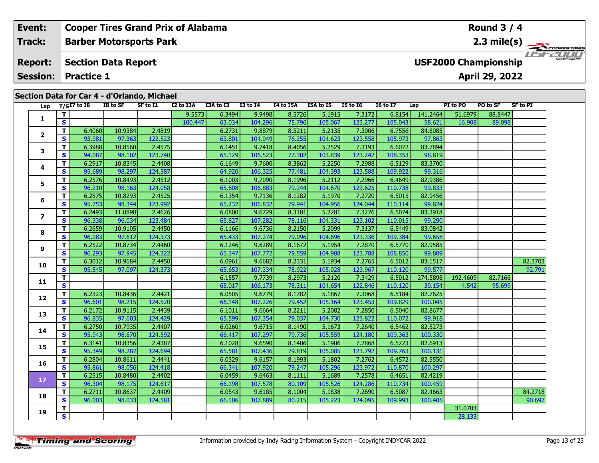| Event:                                                                               |   | <b>Cooper Tires Grand Prix of Alabama</b>   |          |          |           |               |                 |           |           |                 |                 |               |          | Round $3/4$                                   |          |                                    |
|--------------------------------------------------------------------------------------|---|---------------------------------------------|----------|----------|-----------|---------------|-----------------|-----------|-----------|-----------------|-----------------|---------------|----------|-----------------------------------------------|----------|------------------------------------|
| Track:                                                                               |   | <b>Barber Motorsports Park</b>              |          |          |           |               |                 |           |           |                 |                 |               |          |                                               |          | $2.3 \text{ mile(s)}$              |
| <b>Section Data Report</b><br><b>Report:</b><br><b>Session:</b><br><b>Practice 1</b> |   |                                             |          |          |           |               |                 |           |           |                 |                 |               |          | <b>USF2000 Championship</b><br>April 29, 2022 |          | <b>2000</b><br><b>CHAMPIONSHIP</b> |
|                                                                                      |   |                                             |          |          |           |               |                 |           |           |                 |                 |               |          |                                               |          |                                    |
|                                                                                      |   | Section Data for Car 4 - d'Orlando, Michael |          |          |           |               |                 |           |           |                 |                 |               |          |                                               |          |                                    |
| Lap                                                                                  |   | T/SI7 to I8                                 | I8 to SF | SF to I1 | I2 to I3A | I3A to I3     | <b>I3 to I4</b> | I4 to I5A | I5A to I5 | <b>I5 to I6</b> | <b>16 to 17</b> | Lap           | PI to PO | <b>PO to SF</b>                               | SF to PI |                                    |
|                                                                                      |   |                                             |          |          | 9.5573    | 6.3494        | 9.9498          | 8.5726    | 5.1915    | 7.3172          | 6.8154          | 141.2464      | 51.6979  | 88.8447                                       |          |                                    |
| л.                                                                                   | S |                                             |          |          | 100.447   | 63.034        | 104.296         | 75.796    | 105.067   | 123.277         | 105.043         | 58.621        | 16.908   | 89.098                                        |          |                                    |
|                                                                                      |   | 6.4060                                      | 10.9384  | 2.4819   |           | 6.2731        | 9.8879          | 8.5211    | 5.2135    | 7.3006          | 6.7556          | 84.6085       |          |                                               |          |                                    |
|                                                                                      |   | -- -- -                                     | -----    | $\cdots$ |           | $\frac{1}{2}$ | .               | ------    | .         | . 1             | $\cdots$        | $\frac{1}{2}$ |          |                                               |          |                                    |

|                         | T.           |        |         |         | 9.5573  | 6.3494 | 9.9498  | 8.5726 | 5.1915  | 7.3172  | 6.8154  | 141.2464 | 51.6979  | 88.8447 |         |
|-------------------------|--------------|--------|---------|---------|---------|--------|---------|--------|---------|---------|---------|----------|----------|---------|---------|
| 1                       | S            |        |         |         | 100.447 | 63.034 | 104.296 | 75.796 | 105.067 | 123.277 | 105.043 | 58.621   | 16.908   | 89.098  |         |
|                         | Т            | 6.4060 | 10.9384 | 2.4819  |         | 6.2731 | 9.8879  | 8.5211 | 5.2135  | 7.3006  | 6.7556  | 84.6085  |          |         |         |
| $\overline{\mathbf{2}}$ | <b>S</b>     | 93.981 | 97.363  | 122.523 |         | 63.801 | 104.949 | 76.255 | 104.623 | 123.558 | 105.973 | 97.863   |          |         |         |
| 3                       | T            | 6.3988 | 10.8560 | 2.4575  |         | 6.1451 | 9.7418  | 8.4056 | 5.2529  | 7.3193  | 6.6072  | 83.7894  |          |         |         |
|                         | S            | 94.087 | 98.102  | 123.740 |         | 65.129 | 106.523 | 77.302 | 103.839 | 123.242 | 108.353 | 98.819   |          |         |         |
| 4                       | Т            | 6.2917 | 10.8345 | 2.4408  |         | 6.1649 | 9.7600  | 8.3862 | 5.2250  | 7.2988  | 6.5129  | 83.3700  |          |         |         |
|                         | S            | 95.689 | 98.297  | 124.587 |         | 64.920 | 106.325 | 77.481 | 104.393 | 123.588 | 109.922 | 99.316   |          |         |         |
| 5                       | т            | 6.2576 | 10.8493 | 2.4512  |         | 6.1003 | 9.7090  | 8.1996 | 5.2112  | 7.2966  | 6.4649  | 82.9386  |          |         |         |
|                         | S            | 96.210 | 98.163  | 124.058 |         | 65.608 | 106.883 | 79.244 | 104.670 | 123.625 | 110.738 | 99.833   |          |         |         |
| 6                       | Т            | 6.2875 | 10.8293 | 2.4525  |         | 6.1354 | 9.7136  | 8.1282 | 5.1970  | 7.2720  | 6.5015  | 82.9456  |          |         |         |
|                         | S            | 95.753 | 98.344  | 123.992 |         | 65.232 | 106.832 | 79.941 | 104.956 | 124.044 | 110.114 | 99.824   |          |         |         |
| 7                       | $\mathbf{T}$ | 6.2493 | 11.0898 | 2.4626  |         | 6.0800 | 9.6729  | 8.3181 | 5.2281  | 7.3276  | 6.5074  | 83.3918  |          |         |         |
|                         | S            | 96.338 | 96.034  | 123.484 |         | 65.827 | 107.282 | 78.116 | 104.331 | 123.102 | 110.015 | 99.290   |          |         |         |
|                         | T            | 6.2659 | 10.9105 | 2.4450  |         | 6.1166 | 9.6736  | 8.2150 | 5.2099  | 7.3137  | 6.5449  | 83.0842  |          |         |         |
| 8                       | S            | 96.083 | 97.612  | 124.373 |         | 65.433 | 107.274 | 79.096 | 104.696 | 123.336 | 109.384 | 99.658   |          |         |         |
|                         | $\mathbf{T}$ | 6.2522 | 10.8734 | 2.4460  |         | 6.1246 | 9.6289  | 8.1672 | 5.1954  | 7.2870  | 6.5770  | 82.9585  |          |         |         |
| 9                       | S            | 96.293 | 97.945  | 124.322 |         | 65.347 | 107.772 | 79.559 | 104.988 | 123.788 | 108.850 | 99.809   |          |         |         |
| 10                      | Т            | 6.3012 | 10.9684 | 2.4450  |         | 6.0961 | 9.6682  | 8.2331 | 5.1934  | 7.2765  | 6.5012  | 83.1517  |          |         | 82.3703 |
|                         | S            | 95.545 | 97.097  | 124.373 |         | 65.653 | 107.334 | 78.922 | 105.028 | 123.967 | 110.120 | 99.577   |          |         | 92.791  |
|                         | т            |        |         |         |         | 6.1557 | 9.7739  | 8.2973 | 5.2120  | 7.3429  | 6.5012  | 274.5898 | 192.4609 | 82.7166 |         |
| 11                      | $\mathbf{s}$ |        |         |         |         | 65.017 | 106.173 | 78.311 | 104.654 | 122.846 | 110.120 | 30.154   | 4.542    | 95.699  |         |
|                         | T            | 6.2323 | 10.8436 | 2.4421  |         | 6.0505 | 9.6779  | 8.1782 | 5.1867  | 7.3068  | 6.5184  | 82.7625  |          |         |         |
| 12                      | S            | 96.601 | 98.215  | 124.520 |         | 66.148 | 107.226 | 79.452 | 105.164 | 123.453 | 109.829 | 100.045  |          |         |         |
| 13                      | T.           | 6.2172 | 10.9115 | 2.4439  |         | 6.1011 | 9.6664  | 8.2211 | 5.2082  | 7.2850  | 6.5040  | 82.8677  |          |         |         |
|                         | S.           | 96.835 | 97.603  | 124.429 |         | 65.599 | 107.354 | 79.037 | 104.730 | 123.822 | 110.072 | 99.918   |          |         |         |
|                         | т            | 6.2750 | 10.7935 | 2.4407  |         | 6.0260 | 9.6715  | 8.1490 | 5.1673  | 7.2640  | 6.5462  | 82.5273  |          |         |         |
| 14                      | S            | 95.943 | 98.670  | 124.592 |         | 66.417 | 107.297 | 79.736 | 105.559 | 124.180 | 109.363 | 100.330  |          |         |         |
| 15                      | т            | 6.3141 | 10.8356 | 2.4387  |         | 6.1028 | 9.6590  | 8.1406 | 5.1906  | 7.2868  | 6.5223  | 82.6913  |          |         |         |
|                         | $\mathbf{s}$ | 95.349 | 98.287  | 124.694 |         | 65.581 | 107.436 | 79.819 | 105.085 | 123.792 | 109.763 | 100.131  |          |         |         |
|                         | т            | 6.2804 | 10.8611 | 2.4441  |         | 6.0329 | 9.6157  | 8.1993 | 5.1802  | 7.2762  | 6.4572  | 82.5550  |          |         |         |
| 16                      | $\mathbf{s}$ | 95.861 | 98.056  | 124.418 |         | 66.341 | 107.920 | 79.247 | 105.296 | 123.972 | 110.870 | 100.297  |          |         |         |
|                         | T.           | 6.2515 | 10.8480 | 2.4402  |         | 6.0459 | 9.6463  | 8.1111 | 5.1689  | 7.2578  | 6.4651  | 82.4219  |          |         |         |
| $17$                    | $\mathbf{s}$ | 96.304 | 98.175  | 124.617 |         | 66.198 | 107.578 | 80.109 | 105.526 | 124.286 | 110.734 | 100.459  |          |         |         |
|                         | T.           | 6.2711 | 10.8637 | 2.4409  |         | 6.0543 | 9.6185  | 8.1004 | 5.1838  | 7.2690  | 6.5087  | 82.4663  |          |         | 84.2718 |
| 18                      | $\mathbf{s}$ | 96.003 | 98.033  | 124.581 |         | 66.106 | 107.889 | 80.215 | 105.223 | 124.095 | 109.993 | 100.405  |          |         | 90.697  |
|                         | Т            |        |         |         |         |        |         |        |         |         |         |          | 31.0703  |         |         |
| 19                      | S.           |        |         |         |         |        |         |        |         |         |         |          | 28.133   |         |         |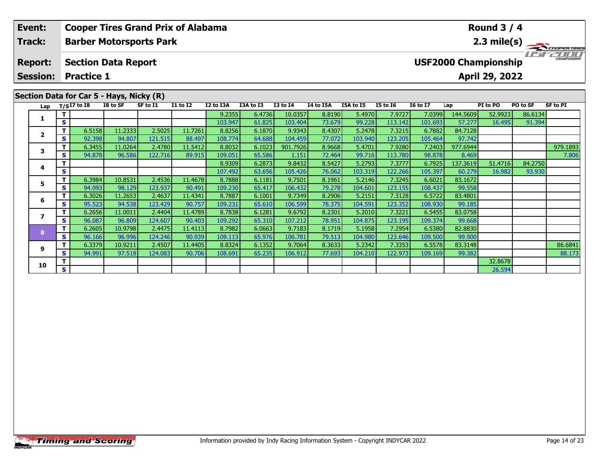| Event:<br><b>Track:</b>           |    | <b>Barber Motorsports Park</b>                                | <b>Cooper Tires Grand Prix of Alabama</b> |          |                 |           |           |                 |           |                  |                 |                 |          | Round $3/4$                                   |          | $2.3 \text{ mile(s)}$ |
|-----------------------------------|----|---------------------------------------------------------------|-------------------------------------------|----------|-----------------|-----------|-----------|-----------------|-----------|------------------|-----------------|-----------------|----------|-----------------------------------------------|----------|-----------------------|
| <b>Report:</b><br><b>Session:</b> |    | <b>Section Data Report</b><br><b>Practice 1</b>               |                                           |          |                 |           |           |                 |           |                  |                 |                 |          | <b>USF2000 Championship</b><br>April 29, 2022 |          | CHAMPIONSHIP          |
|                                   |    | Section Data for Car 5 - Hays, Nicky (R)<br>Lap $T/SI7$ to I8 | I8 to SF                                  | SF to I1 | <b>I1 to I2</b> | I2 to I3A | I3A to I3 | <b>I3 to I4</b> | I4 to I5A | <b>I5A to I5</b> | <b>I5 to 16</b> | <b>16 to 17</b> | Lap      | PI to PO                                      | PO to SF | SF to PI              |
|                                   |    |                                                               |                                           |          |                 | 9.2355    | 6.4736    | 10.0357         | 8.8190    | 5.4970           | 7.9727          | 7.0399          | 144.5609 | 52.9923                                       | 86.6134  |                       |
|                                   | S  |                                                               |                                           |          |                 | 103.947   | 61.825    | 103.404         | 73.679    | 99.228           | 113.142         | 101.693         | 57.277   | 16.495                                        | 91.394   |                       |
| $\mathbf{2}$                      |    | 6.5158                                                        | 11.2333                                   | 2.5025   | 11.7261         | 8.8256    | 6.1870    | 9.9343          | 8.4307    | 5.2478           | 7.3215          | 6.7882          | 84.7128  |                                               |          |                       |
|                                   | S. | 92.398                                                        | 94.807                                    | 121.515  | 88.497          | 108.774   | 64.688    | 104.459         | 77.072    | 103.940          | 123.205         | 105.464         | 97.742   |                                               |          |                       |
|                                   |    | 6.3455                                                        | 11.0264                                   | 2.4780   | 11.5412         | 8.8032    | 6.1023    | 901.7926        | 8.9668    | 5.4701           | 7.9280          | 7.2403          | 977.6944 |                                               |          | 979.1893              |
|                                   | S. | 94.878                                                        | 96.586                                    | 122.716  | 89.915          | 109.051   | 65.586    | 1.151           | 72.464    | 99.716           | 113.780         | 98.878          | 8.469    |                                               |          | 7.806                 |
|                                   |    |                                                               |                                           |          |                 | 8.9309    | 6.2873    | 9.8432          | 8.5427    | 5.2793           | 7.3777          | 6.7925          | 137.3619 | 51.4716                                       | 84.2750  |                       |
|                                   | S. |                                                               |                                           |          |                 | 107.492   | 63.656    | 105.426         | 76.062    | 103.319          | 122.266         | 105.397         | 60.279   | 16.982                                        | 93.930   |                       |

**<sup>T</sup>** 6.3379 10.9211 2.4507 11.4405 8.8324 6.1352 9.7064 8.3633 5.2342 7.3353 6.5578 83.3148 86.6841 **<sup>S</sup>** 94.991 97.518 124.083 90.706 108.691 65.235 106.912 77.693 104.210 122.973 109.169 99.382 88.173

**<sup>T</sup>** 6.3984 10.8531 2.4536 11.4678 8.7888 6.1181 9.7501 8.1961 5.2146 7.3245 6.6021 83.1672 **<sup>S</sup>** 94.093 98.129 123.937 90.491 109.230 65.417 106.432 79.278 104.601 123.155 108.437 99.558

**<sup>T</sup>** 6.3026 11.2653 2.4637 11.4341 8.7887 6.1001 9.7349 8.2906 5.2151 7.3128 6.5722 83.4801 **<sup>S</sup>** 95.523 94.538 123.429 90.757 109.231 65.610 106.599 78.375 104.591 123.352 108.930 99.185

**<sup>T</sup>** 6.2656 11.0011 2.4404 11.4789 8.7838 6.1281 9.6792 8.2301 5.2010 7.3221 6.5455 83.0758 **<sup>S</sup>** 96.087 96.809 124.607 90.403 109.292 65.310 107.212 78.951 104.875 123.195 109.374 99.668

**<sup>T</sup>** 6.2605 10.9798 2.4475 11.4113 8.7982 6.0663 9.7183 8.1719 5.1958 7.2954 6.5380 82.8830 **<sup>S</sup>** 96.166 96.996 124.246 90.939 109.113 65.976 106.781 79.513 104.980 123.646 109.500 99.900

**<sup>T</sup>** 32.8678 **<sup>S</sup>** 26.594

## **Timing and Scoring**

**5**

**6**

**7**

**8**

**9**

**10**

88.173

93.930

99.668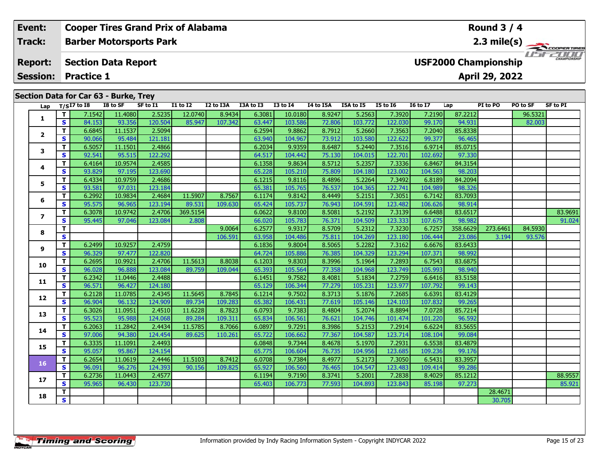| Event:          |    |                                       |          | <b>Cooper Tires Grand Prix of Alabama</b> |                 |           |           |              |           |                  |                 |                 |                             | Round $3/4$    |          |                       |
|-----------------|----|---------------------------------------|----------|-------------------------------------------|-----------------|-----------|-----------|--------------|-----------|------------------|-----------------|-----------------|-----------------------------|----------------|----------|-----------------------|
| Track:          |    |                                       |          | <b>Barber Motorsports Park</b>            |                 |           |           |              |           |                  |                 |                 |                             |                |          | $2.3 \text{ mile(s)}$ |
| <b>Report:</b>  |    | <b>Section Data Report</b>            |          |                                           |                 |           |           |              |           |                  |                 |                 | <b>USF2000 Championship</b> |                |          | <b>CHAMPIONSHIP</b>   |
| <b>Session:</b> |    | <b>Practice 1</b>                     |          |                                           |                 |           |           |              |           |                  |                 |                 |                             | April 29, 2022 |          |                       |
|                 |    | Section Data for Car 63 - Burke, Trey |          |                                           |                 |           |           |              |           |                  |                 |                 |                             |                |          |                       |
|                 |    | Lap $T/SI7$ to I8                     | I8 to SF | SF to I1                                  | <b>I1 to I2</b> | I2 to I3A | I3A to I3 | $I3$ to $I4$ | I4 to I5A | <b>I5A to I5</b> | <b>I5 to I6</b> | <b>I6 to I7</b> | Lap                         | PI to PO       | PO to SF | SF to PI              |
|                 |    | 7.1542                                | 11.4080  | 2.5235                                    | 12.0740         | 8.9434    | 6.3081    | 10.0180      | 8.9247    | 5.2563           | 7.3920          | 7.2190          | 87.2212                     |                | 96.5321  |                       |
|                 | S. | 84.153                                | 93.356   | 120.504                                   | 85.947          | 107.342   | 63.447    | 103.586      | 72.806    | 103.772          | 122.030         | 99.170          | 94.931                      |                | 82.003   |                       |
|                 |    | 6.6845                                | 11.1537  | 2.5094                                    |                 |           | 6.2594    | 9.8862       | 8.7912    | 5.2660           | 7.3563          | 7.2040          | 85.8338                     |                |          |                       |
|                 | S. | 90.066                                | 95.484   | 121.181                                   |                 |           | 63.940    | 104.967      | 73.912    | 103.580          | 122.622         | 99.377          | 96.465                      |                |          |                       |
|                 |    |                                       |          |                                           |                 |           |           |              |           |                  |                 |                 |                             |                |          |                       |

|                | S. | 84.153 | 93.356  | 120.504 | 85.947   | 107.342 | 63.447 | 103.586 | 72.806 | 103.772 | 122.030 | 99.170  | 94.931   |          | 82.003  |         |
|----------------|----|--------|---------|---------|----------|---------|--------|---------|--------|---------|---------|---------|----------|----------|---------|---------|
| $\overline{2}$ | T. | 6.6845 | 11.1537 | 2.5094  |          |         | 6.2594 | 9.8862  | 8.7912 | 5.2660  | 7.3563  | 7.2040  | 85.8338  |          |         |         |
|                | S. | 90.066 | 95.484  | 121.181 |          |         | 63.940 | 104.967 | 73.912 | 103.580 | 122.622 | 99.377  | 96.465   |          |         |         |
| 3              | т  | 6.5057 | 11.1501 | 2.4866  |          |         | 6.2034 | 9.9359  | 8.6487 | 5.2440  | 7.3516  | 6.9714  | 85.0715  |          |         |         |
|                | S  | 92.541 | 95.515  | 122.292 |          |         | 64.517 | 104.442 | 75.130 | 104.015 | 122.701 | 102.692 | 97.330   |          |         |         |
|                | т  | 6.4164 | 10.9574 | 2.4585  |          |         | 6.1358 | 9.8634  | 8.5712 | 5.2357  | 7.3336  | 6.8467  | 84.3154  |          |         |         |
| 4              | S  | 93.829 | 97.195  | 123.690 |          |         | 65.228 | 105.210 | 75.809 | 104.180 | 123.002 | 104.563 | 98.203   |          |         |         |
| 5              | т  | 6.4334 | 10.9759 | 2.4686  |          |         | 6.1215 | 9.8116  | 8.4896 | 5.2264  | 7.3492  | 6.8189  | 84.2094  |          |         |         |
|                | S  | 93.581 | 97.031  | 123.184 |          |         | 65.381 | 105.765 | 76.537 | 104.365 | 122.741 | 104.989 | 98.326   |          |         |         |
| 6              | т  | 6.2992 | 10.9834 | 2.4684  | 11.5907  | 8.7567  | 6.1174 | 9.8142  | 8.4449 | 5.2151  | 7.3051  | 6.7142  | 83.7093  |          |         |         |
|                | S  | 95.575 | 96.965  | 123.194 | 89.531   | 109.630 | 65.424 | 105.737 | 76.943 | 104.591 | 123.482 | 106.626 | 98.914   |          |         |         |
| $\overline{ }$ | т  | 6.3078 | 10.9742 | 2.4706  | 369.5154 |         | 6.0622 | 9.8100  | 8.5081 | 5.2192  | 7.3139  | 6.6488  | 83.6517  |          |         | 83.9691 |
|                | S. | 95.445 | 97.046  | 123.084 | 2.808    |         | 66.020 | 105.783 | 76.371 | 104.509 | 123.333 | 107.675 | 98.982   |          |         | 91.024  |
| 8              | т  |        |         |         |          | 9.0064  | 6.2577 | 9.9317  | 8.5709 | 5.2312  | 7.3230  | 6.7257  | 358.6629 | 273.6461 | 84.5930 |         |
|                | S. |        |         |         |          | 106.591 | 63.958 | 104.486 | 75.811 | 104.269 | 123.180 | 106.444 | 23.086   | 3.194    | 93.576  |         |
| 9              | т  | 6.2499 | 10.9257 | 2.4759  |          |         | 6.1836 | 9.8004  | 8.5065 | 5.2282  | 7.3162  | 6.6676  | 83.6433  |          |         |         |
|                | S  | 96.329 | 97.477  | 122.820 |          |         | 64.724 | 105.886 | 76.385 | 104.329 | 123.294 | 107.371 | 98.992   |          |         |         |
| 10             | T. | 6.2695 | 10.9921 | 2.4706  | 11.5613  | 8.8038  | 6.1203 | 9.8303  | 8.3996 | 5.1964  | 7.2893  | 6.7543  | 83.6875  |          |         |         |
|                | S  | 96.028 | 96.888  | 123.084 | 89.759   | 109.044 | 65.393 | 105.564 | 77.358 | 104.968 | 123.749 | 105.993 | 98.940   |          |         |         |
| 11             | т  | 6.2342 | 11.0446 | 2.4488  |          |         | 6.1451 | 9.7582  | 8.4081 | 5.1834  | 7.2759  | 6.6416  | 83.5158  |          |         |         |
|                | S  | 96.571 | 96.427  | 124.180 |          |         | 65.129 | 106.344 | 77.279 | 105.231 | 123.977 | 107.792 | 99.143   |          |         |         |
| 12             | т  | 6.2128 | 11.0785 | 2.4345  | 11.5645  | 8.7845  | 6.1214 | 9.7502  | 8.3713 | 5.1876  | 7.2685  | 6.6391  | 83.4129  |          |         |         |
|                | S  | 96.904 | 96.132  | 124.909 | 89.734   | 109.283 | 65.382 | 106.431 | 77.619 | 105.146 | 124.103 | 107.832 | 99.265   |          |         |         |
| 13             | т  | 6.3026 | 11.0951 | 2.4510  | 11.6228  | 8.7823  | 6.0793 | 9.7383  | 8.4804 | 5.2074  | 8.8894  | 7.0728  | 85.7214  |          |         |         |
|                | S. | 95.523 | 95.988  | 124.068 | 89.284   | 109.311 | 65.834 | 106.561 | 76.621 | 104.746 | 101.474 | 101.220 | 96.592   |          |         |         |
| 14             | T. | 6.2063 | 11.2842 | 2.4434  | 11.5785  | 8.7066  | 6.0897 | 9.7291  | 8.3986 | 5.2153  | 7.2914  | 6.6224  | 83.5655  |          |         |         |
|                | S  | 97.006 | 94.380  | 124.454 | 89.625   | 110.261 | 65.722 | 106.662 | 77.367 | 104.587 | 123.714 | 108.104 | 99.084   |          |         |         |
| 15             | т  | 6.3335 | 11.1091 | 2.4493  |          |         | 6.0848 | 9.7344  | 8.4678 | 5.1970  | 7.2931  | 6.5538  | 83.4879  |          |         |         |
|                | S  | 95.057 | 95.867  | 124.154 |          |         | 65.775 | 106.604 | 76.735 | 104.956 | 123.685 | 109.236 | 99.176   |          |         |         |
| 16             | T. | 6.2654 | 11.0619 | 2.4446  | 11.5103  | 8.7412  | 6.0708 | 9.7384  | 8.4977 | 5.2173  | 7.3050  | 6.5431  | 83.3957  |          |         |         |
|                | S  | 96.091 | 96.276  | 124.393 | 90.156   | 109.825 | 65.927 | 106.560 | 76.465 | 104.547 | 123.483 | 109.414 | 99.286   |          |         |         |
| 17             | T. | 6.2736 | 11.0443 | 2.4577  |          |         | 6.1194 | 9.7190  | 8.3741 | 5.2001  | 7.2838  | 8.4029  | 85.1212  |          |         | 88.9557 |
|                | S  | 95.965 | 96.430  | 123.730 |          |         | 65.403 | 106.773 | 77.593 | 104.893 | 123.843 | 85.198  | 97.273   |          |         | 85.921  |
| 18             | т  |        |         |         |          |         |        |         |        |         |         |         |          | 28.4671  |         |         |
|                | S. |        |         |         |          |         |        |         |        |         |         |         |          | 30.705   |         |         |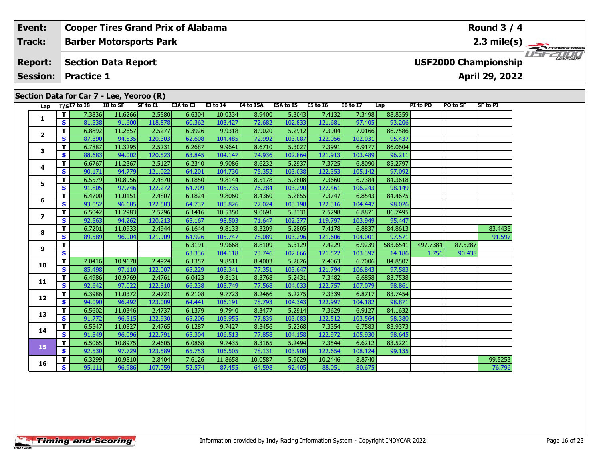| Event:<br><b>Track:</b>           |    |                                | <b>Barber Motorsports Park</b>           |          | <b>Cooper Tires Grand Prix of Alabama</b> |                 |           |           |                 |                 |         |          |          | Round $3/4$                                   | $2.3 \text{ mile(s)}$ |
|-----------------------------------|----|--------------------------------|------------------------------------------|----------|-------------------------------------------|-----------------|-----------|-----------|-----------------|-----------------|---------|----------|----------|-----------------------------------------------|-----------------------|
| <b>Report:</b><br><b>Session:</b> |    | <b>Practice 1</b>              | <b>Section Data Report</b>               |          |                                           |                 |           |           |                 |                 |         |          |          | <b>USF2000 Championship</b><br>April 29, 2022 | <b>CHAMPIONSHIP</b>   |
|                                   |    |                                | Section Data for Car 7 - Lee, Yeoroo (R) |          |                                           |                 |           |           |                 |                 |         |          |          |                                               |                       |
|                                   |    | Lap $T/SI7$ to $\overline{18}$ | I8 to SF                                 | SF to I1 | I3A to I3                                 | <b>I3 to I4</b> | I4 to I5A | I5A to I5 | <b>I5 to I6</b> | <b>16 to 17</b> | Lap     | PI to PO | PO to SF | SF to PI                                      |                       |
|                                   |    | 7.3836                         | 11.6266                                  | 2.5580   | 6.6304                                    | 10.0334         | 8.9400    | 5.3043    | 7.4132          | 7.3498          | 88.8359 |          |          |                                               |                       |
|                                   | S. | 81.538                         | 91.600                                   | 118.878  | 60.362                                    | 103.427         | 72.682    | 102.833   | 121.681         | 97.405          | 93.206  |          |          |                                               |                       |
|                                   |    | 6.8892                         | 11.2657                                  | 2.5277   | 6.3926                                    | 9.9318          | 8.9020    | 5.2912    | 7.3904          | 7.0166          | 86.7586 |          |          |                                               |                       |
| $\overline{2}$                    | S. | 87.390                         | 94.535                                   | 120.303  | 62.608                                    | 104.485         | 72.992    | 103.087   | 122.056         | 102.031         | 95.437  |          |          |                                               |                       |
|                                   |    | 6.7887                         | 11.3295                                  | 2.5231   | 6.2687                                    | 9.9641          | 8.6710    | 5.3027    | 7.3991          | 6.9177          | 86.0604 |          |          |                                               |                       |
| 3                                 | S. | 88.683                         | 94.002                                   | 120.523  | 63.845                                    | 104.147         | 74.936    | 102.864   | 121.913         | 103.489         | 96.211  |          |          |                                               |                       |
|                                   |    | 6.6767                         | 11.2367                                  | 2.5127   | 6.2340                                    | 9.9086          | 8.6232    | 5.2937    | 7.3725          | 6.8090          | 85.2797 |          |          |                                               |                       |
| 4                                 | S. | 90.171                         | 94.779                                   | 121.022  | 64.201                                    | 104.730         | 75.352    | 103.038   | 122.353         | 105.142         | 97.092  |          |          |                                               |                       |

**<sup>T</sup>** 6.7201 11.0933 2.4944 6.1644 9.8133 8.3209 5.2805 7.4178 6.8837 84.8613 83.4435 **<sup>S</sup>** 89.589 96.004 121.909 64.926 105.747 78.089 103.296 121.606 104.001 97.571 91.597

**<sup>T</sup>** 6.3299 10.9810 2.8404 7.6126 11.8658 10.0587 5.9029 10.2446 8.8740 99.5253 **<sup>S</sup>** 95.111 96.986 107.059 52.574 87.455 64.598 92.405 88.051 80.675 76.796

**<sup>T</sup>** 6.3191 9.9668 8.8109 5.3129 7.4229 6.9239 583.6541 497.7384 87.5287 **<sup>S</sup>** 63.336 104.118 73.746 102.666 121.522 103.397 14.186 1.756 90.438

**<sup>T</sup>** 6.5579 10.8956 2.4870 6.1850 9.8144 8.5178 5.2808 7.3660 6.7384 84.3618 **<sup>S</sup>** 91.805 97.746 122.272 64.709 105.735 76.284 103.290 122.461 106.243 98.149

**<sup>T</sup>** 6.4700 11.0151 2.4807 6.1824 9.8060 8.4360 5.2855 7.3747 6.8543 84.4675 **<sup>S</sup>** 93.052 96.685 122.583 64.737 105.826 77.024 103.198 122.316 104.447 98.026

**<sup>T</sup>** 6.5042 11.2983 2.5296 6.1416 10.5350 9.0691 5.3331 7.5298 6.8871 86.7495 **<sup>S</sup>** 92.563 94.262 120.213 65.167 98.503 71.647 102.277 119.797 103.949 95.447

**<sup>T</sup>** 7.0416 10.9670 2.4924 6.1357 9.8511 8.4003 5.2626 7.4063 6.7006 84.8507 **<sup>S</sup>** 85.498 97.110 122.007 65.229 105.341 77.351 103.647 121.794 106.843 97.583

**<sup>T</sup>** 6.4986 10.9769 2.4761 6.0423 9.8131 8.3768 5.2431 7.3482 6.6858 83.7538 **<sup>S</sup>** 92.642 97.022 122.810 66.238 105.749 77.568 104.033 122.757 107.079 98.861

**<sup>T</sup>** 6.3986 11.0372 2.4721 6.2108 9.7723 8.2466 5.2275 7.3339 6.8717 83.7454 **<sup>S</sup>** 94.090 96.492 123.009 64.441 106.191 78.793 104.343 122.997 104.182 98.871

**<sup>T</sup>** 6.5602 11.0346 2.4737 6.1379 9.7940 8.3477 5.2914 7.3629 6.9127 84.1632 **<sup>S</sup>** 91.772 96.515 122.930 65.206 105.955 77.839 103.083 122.512 103.564 98.380

**<sup>T</sup>** 6.5547 11.0827 2.4765 6.1287 9.7427 8.3456 5.2368 7.3354 6.7583 83.9373 **<sup>S</sup>** 91.849 96.096 122.791 65.304 106.513 77.858 104.158 122.972 105.930 98.645

**<sup>T</sup>** 6.5065 10.8975 2.4605 6.0868 9.7435 8.3165 5.2494 7.3544 6.6212 83.5221 **<sup>S</sup>** 92.530 97.729 123.589 65.753 106.505 78.131 103.908 122.654 108.124 99.135

97.092

95.447

98.871

98.645

90.438

*<u>Round</u>* 

## **Timing and Scoring**

**5**

**6**

**7**

**8**

**9**

**10**

**11**

**12**

**13**

**14**

**15**

**16**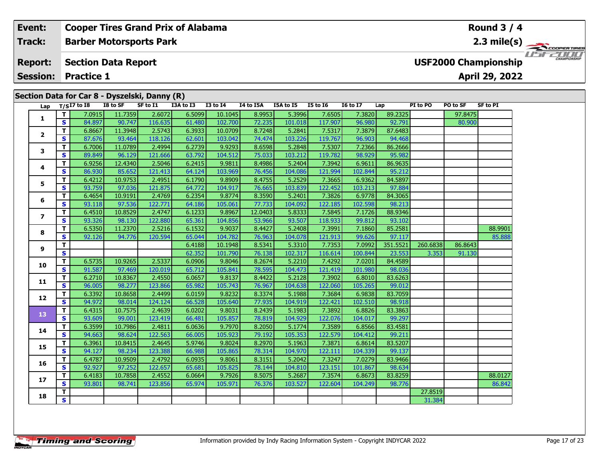|                                                        | Event:         |    |                   |                            | <b>Cooper Tires Grand Prix of Alabama</b>     |           |                        |           |           |                 |                 |         |          |                             | Round $3/4$     |                    |
|--------------------------------------------------------|----------------|----|-------------------|----------------------------|-----------------------------------------------|-----------|------------------------|-----------|-----------|-----------------|-----------------|---------|----------|-----------------------------|-----------------|--------------------|
|                                                        | Track:         |    |                   |                            | <b>Barber Motorsports Park</b>                |           |                        |           |           |                 |                 |         |          |                             | 2.3 mile(s) $-$ | <b>COOPERTIRES</b> |
|                                                        | <b>Report:</b> |    |                   | <b>Section Data Report</b> |                                               |           |                        |           |           |                 |                 |         |          | <b>USF2000 Championship</b> |                 | CHAMPIONSHIP       |
| <b>Session:</b><br><b>Practice 1</b><br>April 29, 2022 |                |    |                   |                            |                                               |           |                        |           |           |                 |                 |         |          |                             |                 |                    |
|                                                        |                |    |                   |                            | Section Data for Car 8 - Dyszelski, Danny (R) |           |                        |           |           |                 |                 |         |          |                             |                 |                    |
|                                                        |                |    | Lap $T/SI7$ to I8 | I8 to SF                   | SF to I1                                      | I3A to I3 | <b>I3 to I4</b>        | I4 to I5A | I5A to I5 | <b>I5 to I6</b> | <b>16 to 17</b> | Lap     | PI to PO | PO to SF                    | SF to PI        |                    |
|                                                        |                |    | 7.0915            | 11.7359                    | 2.6072                                        | 6.5099    | 10.1045                | 8.9953    | 5.3996    | 7.6505          | 7.3820          | 89.2325 |          | 97.8475                     |                 |                    |
|                                                        |                | S. | 84.897            | 90.747                     | 116.635                                       | 61.480    | 102.700                | 72.235    | 101.018   | 117.907         | 96.980          | 92.791  |          | 80.900                      |                 |                    |
|                                                        |                |    | 6.8667            | 11.3948                    | 2.5743                                        | 6.3933    | 10.0709                | 8.7248    | 5.2841    | 7.5317          | 7.3879          | 87.6483 |          |                             |                 |                    |
|                                                        |                |    | 87676             | $Q$ 3 464                  | 11812                                         | 62601     | 103.042 $\blacksquare$ | 74 474    | 103.226   | 110767          | $QG$ $QQ$       | 04.468  |          |                             |                 |                    |

| 1                       | S                       | 84.897 | 90.747  | 116.635 | 61.480 | 102.700 | 72.235  | 101.018 | 117.907 | 96.980  | 92.791   |          | 80.900  |         |
|-------------------------|-------------------------|--------|---------|---------|--------|---------|---------|---------|---------|---------|----------|----------|---------|---------|
| $\overline{\mathbf{2}}$ | T.                      | 6.8667 | 11.3948 | 2.5743  | 6.3933 | 10.0709 | 8.7248  | 5.2841  | 7.5317  | 7.3879  | 87.6483  |          |         |         |
|                         | S.                      | 87.676 | 93.464  | 118.126 | 62.601 | 103.042 | 74.474  | 103.226 | 119.767 | 96.903  | 94.468   |          |         |         |
| 3                       | T.                      | 6.7006 | 11.0789 | 2.4994  | 6.2739 | 9.9293  | 8.6598  | 5.2848  | 7.5307  | 7.2366  | 86.2666  |          |         |         |
|                         | S                       | 89.849 | 96.129  | 121.666 | 63.792 | 104.512 | 75.033  | 103.212 | 119.782 | 98.929  | 95.982   |          |         |         |
| 4                       | T                       | 6.9256 | 12.4340 | 2.5046  | 6.2415 | 9.9811  | 8.4986  | 5.2404  | 7.3942  | 6.9611  | 86.9635  |          |         |         |
|                         | S                       | 86.930 | 85.652  | 121.413 | 64.124 | 103.969 | 76.456  | 104.086 | 121.994 | 102.844 | 95.212   |          |         |         |
| 5                       | т                       | 6.4212 | 10.9753 | 2.4951  | 6.1790 | 9.8909  | 8.4755  | 5.2529  | 7.3665  | 6.9362  | 84.5897  |          |         |         |
|                         | $\overline{\mathbf{s}}$ | 93.759 | 97.036  | 121.875 | 64.772 | 104.917 | 76.665  | 103.839 | 122.452 | 103.213 | 97.884   |          |         |         |
| 6                       | T.                      | 6.4654 | 10.9191 | 2.4769  | 6.2354 | 9.8774  | 8.3590  | 5.2401  | 7.3826  | 6.9778  | 84.3065  |          |         |         |
|                         | S                       | 93.118 | 97.536  | 122.771 | 64.186 | 105.061 | 77.733  | 104.092 | 122.185 | 102.598 | 98.213   |          |         |         |
| $\overline{ }$          | T.                      | 6.4510 | 10.8529 | 2.4747  | 6.1233 | 9.8967  | 12.0403 | 5.8333  | 7.5845  | 7.1726  | 88.9346  |          |         |         |
|                         | S                       | 93.326 | 98.130  | 122.880 | 65.361 | 104.856 | 53.966  | 93.507  | 118.933 | 99.812  | 93.102   |          |         |         |
| 8                       | T.                      | 6.5350 | 11.2370 | 2.5216  | 6.1532 | 9.9037  | 8.4427  | 5.2408  | 7.3991  | 7.1860  | 85.2581  |          |         | 88.9901 |
|                         | S.                      | 92.126 | 94.776  | 120.594 | 65.044 | 104.782 | 76.963  | 104.078 | 121.913 | 99.626  | 97.117   |          |         | 85.888  |
| 9                       | T.                      |        |         |         | 6.4188 | 10.1948 | 8.5341  | 5.3310  | 7.7353  | 7.0992  | 351.5521 | 260.6838 | 86.8643 |         |
|                         | S                       |        |         |         | 62.352 | 101.790 | 76.138  | 102.317 | 116.614 | 100.844 | 23.553   | 3.353    | 91.130  |         |
| 10                      | T.                      | 6.5735 | 10.9265 | 2.5337  | 6.0906 | 9.8046  | 8.2674  | 5.2210  | 7.4292  | 7.0201  | 84.4589  |          |         |         |
|                         | S.                      | 91.587 | 97.469  | 120.019 | 65.712 | 105.841 | 78.595  | 104.473 | 121.419 | 101.980 | 98.036   |          |         |         |
| 11                      | $\mathbf{T}$            | 6.2710 | 10.8367 | 2.4550  | 6.0657 | 9.8137  | 8.4422  | 5.2128  | 7.3902  | 6.8010  | 83.6263  |          |         |         |
|                         | S                       | 96.005 | 98.277  | 123.866 | 65.982 | 105.743 | 76.967  | 104.638 | 122.060 | 105.265 | 99.012   |          |         |         |
| 12                      | T.                      | 6.3392 | 10.8658 | 2.4499  | 6.0159 | 9.8232  | 8.3374  | 5.1988  | 7.3684  | 6.9838  | 83.7059  |          |         |         |
|                         | $\overline{\mathbf{s}}$ | 94.972 | 98.014  | 124.124 | 66.528 | 105.640 | 77.935  | 104.919 | 122.421 | 102.510 | 98.918   |          |         |         |
| 13                      | T.                      | 6.4315 | 10.7575 | 2.4639  | 6.0202 | 9.8031  | 8.2439  | 5.1983  | 7.3892  | 6.8826  | 83.3863  |          |         |         |
|                         | S                       | 93.609 | 99.001  | 123.419 | 66.481 | 105.857 | 78.819  | 104.929 | 122.076 | 104.017 | 99.297   |          |         |         |
| 14                      | T.                      | 6.3599 | 10.7986 | 2.4811  | 6.0636 | 9.7970  | 8.2050  | 5.1774  | 7.3589  | 6.8566  | 83.4581  |          |         |         |
|                         | S                       | 94.663 | 98.624  | 122.563 | 66.005 | 105.923 | 79.192  | 105.353 | 122.579 | 104.412 | 99.211   |          |         |         |
| 15                      | T.                      | 6.3961 | 10.8415 | 2.4645  | 5.9746 | 9.8024  | 8.2970  | 5.1963  | 7.3871  | 6.8614  | 83.5207  |          |         |         |
|                         | $\overline{\mathbf{s}}$ | 94.127 | 98.234  | 123.388 | 66.988 | 105.865 | 78.314  | 104.970 | 122.111 | 104.339 | 99.137   |          |         |         |
| 16                      | T.                      | 6.4787 | 10.9509 | 2.4792  | 6.0935 | 9.8061  | 8.3151  | 5.2042  | 7.3247  | 7.0279  | 83.9466  |          |         |         |
|                         | S                       | 92.927 | 97.252  | 122.657 | 65.681 | 105.825 | 78.144  | 104.810 | 123.151 | 101.867 | 98.634   |          |         |         |
| 17                      | T.                      | 6.4183 | 10.7858 | 2.4552  | 6.0664 | 9.7926  | 8.5075  | 5.2687  | 7.3574  | 6.8673  | 83.8259  |          |         | 88.0127 |
|                         | S                       | 93.801 | 98.741  | 123.856 | 65.974 | 105.971 | 76.376  | 103.527 | 122.604 | 104.249 | 98.776   |          |         | 86.842  |
| 18                      | $\overline{\mathsf{T}}$ |        |         |         |        |         |         |         |         |         |          | 27.8519  |         |         |
|                         | $\overline{\mathbf{s}}$ |        |         |         |        |         |         |         |         |         |          | 31.384   |         |         |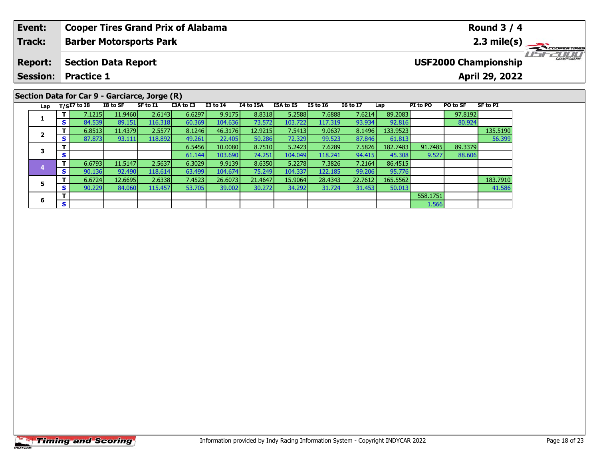| <b>Event:</b>   |    |                   |                            | <b>Cooper Tires Grand Prix of Alabama</b>     |           |              |           |           |                 |                 |         |          |          | <b>Round 3 / 4</b>          |                               |                                |
|-----------------|----|-------------------|----------------------------|-----------------------------------------------|-----------|--------------|-----------|-----------|-----------------|-----------------|---------|----------|----------|-----------------------------|-------------------------------|--------------------------------|
| Track:          |    |                   |                            | <b>Barber Motorsports Park</b>                |           |              |           |           |                 |                 |         |          |          |                             | 2.3 mile(s) $\longrightarrow$ | COOPER TIRES                   |
| <b>Report:</b>  |    |                   | <b>Section Data Report</b> |                                               |           |              |           |           |                 |                 |         |          |          | <b>USF2000 Championship</b> |                               | 7/ T/ T<br><b>CHAMPIONSHIP</b> |
| <b>Session:</b> |    | <b>Practice 1</b> |                            |                                               |           |              |           |           |                 |                 |         |          |          | April 29, 2022              |                               |                                |
|                 |    |                   |                            | Section Data for Car 9 - Garciarce, Jorge (R) |           |              |           |           |                 |                 |         |          |          |                             |                               |                                |
| Lap             |    | $T/SI7$ to $I8$   | I8 to SF                   | SF to I1                                      | I3A to I3 | $I3$ to $I4$ | I4 to I5A | I5A to I5 | <b>I5 to I6</b> | <b>I6 to I7</b> | Lap     | PI to PO | PO to SF | <b>SF to PI</b>             |                               |                                |
|                 |    | 7.1215            | 11.9460                    | 2.6143                                        | 6.6297    | 9.9175       | 8.8318    | 5.2588    | 7.6888          | 7.6214          | 89.2083 |          | 97.8192  |                             |                               |                                |
|                 | S. | 84.539            | 89.151                     | 116.318                                       | 60.369    | 104.636      | 73.572    | 103.722   | 117.319         | 93.934          | 92.816  |          | 80.924   |                             |                               |                                |

**<sup>T</sup>** 6.8513 11.4379 2.5577 8.1246 46.3176 12.9215 7.5413 9.0637 8.1496 133.9523 135.5190 **<sup>S</sup>** 87.873 93.111 118.892 49.261 22.405 50.286 72.329 99.523 87.846 61.813 56.399

**<sup>T</sup>** 6.6724 12.6695 2.6338 7.4523 26.6073 21.4647 15.9064 28.4343 22.7612 165.5562 183.7910 **<sup>S</sup>** 90.229 84.060 115.457 53.705 39.002 30.272 34.292 31.724 31.453 50.013 41.586

**<sup>T</sup>** 6.5456 10.0080 8.7510 5.2423 7.6289 7.5826 182.7483 91.7485 89.3379 **<sup>S</sup>** 61.144 103.690 74.251 104.049 118.241 94.415 45.308 9.527 88.606

**<sup>T</sup>** 6.6793 11.5147 2.5637 6.3029 9.9139 8.6350 5.2278 7.3826 7.2164 86.4515 **<sup>S</sup>** 90.136 92.490 118.614 63.499 104.674 75.249 104.337 122.185 99.206 95.776

**T** 558.1751 **S** 1.566

**2**

**3**

**4**

**5**

**6**

56.399

41.586

88.606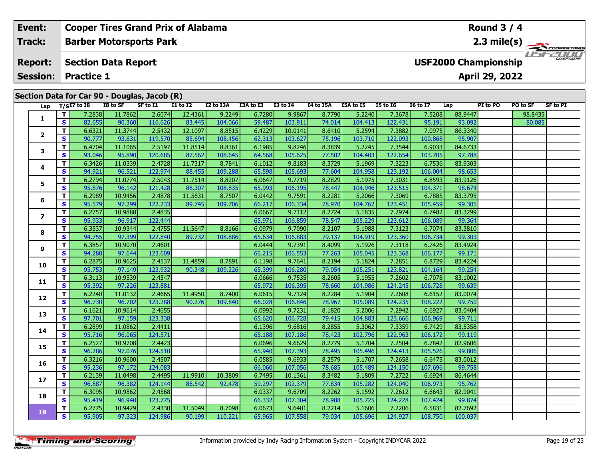| Event:          |     |                   |                            | <b>Cooper Tires Grand Prix of Alabama</b>    |                 |           |           |              |           |           |                 |                 |                             | Round $3/4$    |          |                       |
|-----------------|-----|-------------------|----------------------------|----------------------------------------------|-----------------|-----------|-----------|--------------|-----------|-----------|-----------------|-----------------|-----------------------------|----------------|----------|-----------------------|
| <b>Track:</b>   |     |                   |                            | <b>Barber Motorsports Park</b>               |                 |           |           |              |           |           |                 |                 |                             |                |          | $2.3 \text{ mile(s)}$ |
| <b>Report:</b>  |     |                   | <b>Section Data Report</b> |                                              |                 |           |           |              |           |           |                 |                 | <b>USF2000 Championship</b> |                |          | $L = E$ CHAMPIONSHIP  |
| <b>Session:</b> |     | <b>Practice 1</b> |                            |                                              |                 |           |           |              |           |           |                 |                 |                             | April 29, 2022 |          |                       |
|                 |     |                   |                            |                                              |                 |           |           |              |           |           |                 |                 |                             |                |          |                       |
|                 |     |                   |                            | Section Data for Car 90 - Douglas, Jacob (R) |                 |           |           |              |           |           |                 |                 |                             |                |          |                       |
|                 |     | Lap $T/SI7$ to 18 | I8 to SF                   | SF to I1                                     | <b>I1 to I2</b> | I2 to I3A | I3A to I3 | $I3$ to $I4$ | I4 to I5A | I5A to I5 | <b>I5 to I6</b> | <b>16 to 17</b> | Lap                         | PI to PO       | PO to SF | SF to PI              |
|                 |     | 7.2838            | 11.7862                    | 2.6074                                       | 12.4361         | 9.2249    | 6.7280    | 9.9867       | 8.7790    | 5.2240    | 7.3678          | 7.5208          | 88.9447                     |                | 98.8435  |                       |
|                 | S.  | 82.655            | 90.360                     | 116.626                                      | 83.445          | 104.066   | 59.487    | 103.911      | 74.014    | 104.413   | 122.431         | 95.191          | 93.092                      |                | 80.085   |                       |
|                 |     | 6.6321            | 11.3744                    | 2.5432                                       | 12.1097         | 8.8515    | 6.4229    | 10.0141      | 8.6410    | 5.2594    | 7.3882          | 7.0975          | 86.3340                     |                |          |                       |
|                 | S.  | 90.777            | 93.631                     | 119.570                                      | 85.694          | 108.456   | 62.313    | 103.627      | 75.196    | 103.710   | 122.093         | 100.868         | 95.907                      |                |          |                       |
| 3               |     | 6.4704            | 11.1065                    | 2.5197                                       | 11.8514         | 8.8361    | 6.1985    | 9.8246       | 8.3839    | 5.2245    | 7.3544          | 6.9033          | 84.6733                     |                |          |                       |
|                 | S I | 93.046            | 95,890                     | 120 685 L                                    | 87562           | 108 645   | 64 568    | 105625       | 77 502 L  | 104403    | 122654          | 103 705         | 97 788                      |                |          |                       |

|                          | T.           | 7.2838 | 11.7862 | 2.6074  | 12.4361 | 9.2249  | 6.7280 | 9.9867  | 8.7790 | 5.2240  | 7.3678  | 7.5208  | 88.9447 | 98.8 |
|--------------------------|--------------|--------|---------|---------|---------|---------|--------|---------|--------|---------|---------|---------|---------|------|
| 1                        | S            | 82.655 | 90.360  | 116.626 | 83.445  | 104.066 | 59.487 | 103.911 | 74.014 | 104.413 | 122.431 | 95.191  | 93.092  | 80.  |
| 2                        | т            | 6.6321 | 11.3744 | 2.5432  | 12.1097 | 8.8515  | 6.4229 | 10.0141 | 8.6410 | 5.2594  | 7.3882  | 7.0975  | 86.3340 |      |
|                          | S            | 90.777 | 93.631  | 119.570 | 85.694  | 108.456 | 62.313 | 103.627 | 75.196 | 103.710 | 122.093 | 100.868 | 95.907  |      |
| 3                        | т            | 6.4704 | 11.1065 | 2.5197  | 11.8514 | 8.8361  | 6.1985 | 9.8246  | 8.3839 | 5.2245  | 7.3544  | 6.9033  | 84.6733 |      |
|                          | S            | 93.046 | 95.890  | 120.685 | 87.562  | 108.645 | 64.568 | 105.625 | 77.502 | 104.403 | 122.654 | 103.705 | 97.788  |      |
| 4                        | т            | 6.3426 | 11.0339 | 2.4728  | 11.7317 | 8.7841  | 6.1012 | 9.8183  | 8.3729 | 5.1969  | 7.3223  | 6.7536  | 83.9303 |      |
|                          | $\mathbf{s}$ | 94.921 | 96.521  | 122.974 | 88.455  | 109.288 | 65.598 | 105.693 | 77.604 | 104.958 | 123.192 | 106.004 | 98.653  |      |
| 5                        | т            | 6.2794 | 11.0774 | 2.5043  | 11.7514 | 8.8207  | 6.0647 | 9.7719  | 8.2829 | 5.1975  | 7.3031  | 6.8593  | 83.9126 |      |
|                          | S            | 95.876 | 96.142  | 121.428 | 88.307  | 108.835 | 65.993 | 106.195 | 78.447 | 104.946 | 123.515 | 104.371 | 98.674  |      |
| 6                        | т            | 6.2989 | 10.9456 | 2.4878  | 11.5631 | 8.7507  | 6.0442 | 9.7591  | 8.2281 | 5.2066  | 7.3069  | 6.7885  | 83.3795 |      |
|                          | $\mathbf{s}$ | 95.579 | 97.299  | 122.233 | 89.745  | 109.706 | 66.217 | 106.334 | 78.970 | 104.762 | 123.451 | 105.459 | 99.305  |      |
| $\overline{\phantom{a}}$ | т            | 6.2757 | 10.9888 | 2.4835  |         |         | 6.0667 | 9.7112  | 8.2724 | 5.1835  | 7.2974  | 6.7482  | 83.3299 |      |
|                          | $\mathbf{s}$ | 95.933 | 96.917  | 122.444 |         |         | 65.971 | 106.859 | 78.547 | 105.229 | 123.612 | 106.089 | 99.364  |      |
| 8                        | Т            | 6.3537 | 10.9344 | 2.4755  | 11.5647 | 8.8166  | 6.0979 | 9.7090  | 8.2107 | 5.1988  | 7.3123  | 6.7074  | 83.3810 |      |
|                          | $\mathbf{s}$ | 94.755 | 97.399  | 122.840 | 89.732  | 108.886 | 65.634 | 106.883 | 79.137 | 104.919 | 123.360 | 106.734 | 99.303  |      |
| 9                        | т            | 6.3857 | 10.9070 | 2.4601  |         |         | 6.0444 | 9.7391  | 8.4099 | 5.1926  | 7.3118  | 6.7426  | 83.4924 |      |
|                          | S            | 94.280 | 97.644  | 123.609 |         |         | 66.215 | 106.553 | 77.263 | 105.045 | 123.368 | 106.177 | 99.171  |      |
| 10                       | T            | 6.2875 | 10.9625 | 2.4537  | 11.4859 | 8.7891  | 6.1198 | 9.7641  | 8.2194 | 5.1824  | 7.2851  | 6.8729  | 83.4224 |      |
|                          | S.           | 95.753 | 97.149  | 123.932 | 90.348  | 109.226 | 65.399 | 106.280 | 79.054 | 105.251 | 123.821 | 104.164 | 99.254  |      |
| 11                       | т            | 6.3113 | 10.9539 | 2.4547  |         |         | 6.0666 | 9.7535  | 8.2605 | 5.1955  | 7.2602  | 6.7078  | 83.1002 |      |
|                          | $\mathbf{s}$ | 95.392 | 97.226  | 123.881 |         |         | 65.972 | 106.395 | 78.660 | 104.986 | 124.245 | 106.728 | 99.639  |      |
| 12                       | T.           | 6.2240 | 11.0132 | 2.4665  | 11.4950 | 8.7400  | 6.0615 | 9.7124  | 8.2284 | 5.1904  | 7.2608  | 6.6152  | 83.0074 |      |
|                          | S            | 96.730 | 96.702  | 123.288 | 90.276  | 109.840 | 66.028 | 106.846 | 78.967 | 105.089 | 124.235 | 108.222 | 99.750  |      |
| 13                       | т            | 6.1621 | 10.9614 | 2.4655  |         |         | 6.0992 | 9.7231  | 8.1820 | 5.2006  | 7.2942  | 6.6927  | 83.0404 |      |
|                          | S.           | 97.701 | 97.159  | 123.338 |         |         | 65.620 | 106.728 | 79.415 | 104.883 | 123.666 | 106.969 | 99.711  |      |
| 14                       | т            | 6.2899 | 11.0862 | 2.4411  |         |         | 6.1396 | 9.6816  | 8.2855 | 5.3062  | 7.3359  | 6.7429  | 83.5358 |      |
|                          | S            | 95.716 | 96.065  | 124.571 |         |         | 65.188 | 107.186 | 78.423 | 102.796 | 122.963 | 106.172 | 99.119  |      |
| 15                       | т            | 6.2527 | 10.9708 | 2.4423  |         |         | 6.0696 | 9.6629  | 8.2779 | 5.1704  | 7.2504  | 6.7842  | 82.9606 |      |
|                          | S            | 96.286 | 97.076  | 124.510 |         |         | 65.940 | 107.393 | 78.495 | 105.496 | 124.413 | 105.526 | 99.806  |      |
| 16                       | т            | 6.3216 | 10.9600 | 2.4507  |         |         | 6.0585 | 9.6933  | 8.2579 | 5.1707  | 7.2658  | 6.6475  | 83.0012 |      |
|                          | S            | 95.236 | 97.172  | 124.083 |         |         | 66.060 | 107.056 | 78.685 | 105.489 | 124.150 | 107.696 | 99.758  |      |
| 17                       | T.           | 6.2139 | 11.0498 | 2.4495  | 11.9910 | 10.3809 | 6.7495 | 10.1361 | 8.3482 | 5.1809  | 7.2722  | 6.6924  | 86.4644 |      |
|                          | S            | 96.887 | 96.382  | 124.144 | 86.542  | 92.478  | 59.297 | 102.379 | 77.834 | 105.282 | 124.040 | 106.973 | 95.762  |      |
| 18                       | т            | 6.3095 | 10.9862 | 2.4568  |         |         | 6.0337 | 9.6709  | 8.2262 | 5.1592  | 7.2612  | 6.6643  | 82.9041 |      |
|                          | $\mathbf{s}$ | 95.419 | 96.940  | 123.775 |         |         | 66.332 | 107.304 | 78.988 | 105.725 | 124.228 | 107.424 | 99.874  |      |
| 19                       | T.           | 6.2775 | 10.9429 | 2.4330  | 11.5049 | 8.7098  | 6.0673 | 9.6481  | 8.2214 | 5.1606  | 7.2206  | 6.5831  | 82.7692 |      |
|                          | <b>S</b>     | 95.905 | 97.323  | 124.986 | 90.199  | 110.221 | 65.965 | 107.558 | 79.034 | 105.696 | 124.927 | 108.750 | 100.037 |      |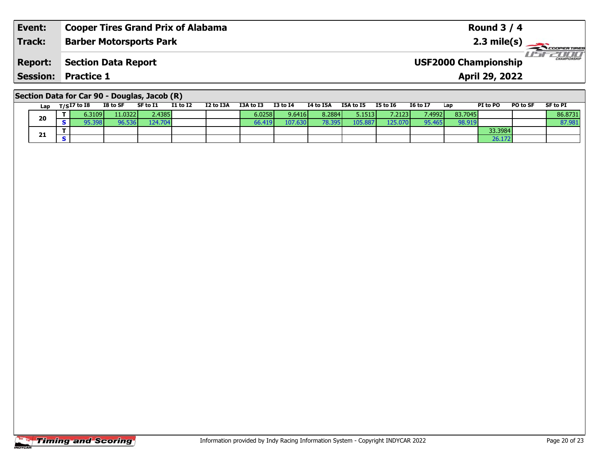| Event:         | <b>Cooper Tires Grand Prix of Alabama</b>        | Round $3/4$                                             |
|----------------|--------------------------------------------------|---------------------------------------------------------|
| <b>Track:</b>  | <b>Barber Motorsports Park</b>                   | $2.3 \text{ mile(s)}$                                   |
| <b>Report:</b> | Section Data Report                              | <b>LISE CHAMPIONSHIP</b><br><b>USF2000 Championship</b> |
|                | <b>Session: Practice 1</b>                       | <b>April 29, 2022</b>                                   |
|                | Section Data for Car $90 -$ Douglas, Jacob $(R)$ |                                                         |

| Lap | T/SI7 to I8 | I8 to SF | SF to I1 | <b>I1 to I2</b> | I2 to I3A | I3A to I3       | I3 to I4 | I4 to I5A     | I5A to I5        | I5 to I6 | <b>I6 to I7</b> | Lap     | <b>PI</b> to PO | <b>PO to SF</b> | <b>SF to PI</b> |
|-----|-------------|----------|----------|-----------------|-----------|-----------------|----------|---------------|------------------|----------|-----------------|---------|-----------------|-----------------|-----------------|
| 20  | 6.3109V     | 11.0322  | 2.4385   |                 |           | 6.0258 <b>l</b> | 9.6416   | 8.2884        | 5.1513           | 7.21231  | 7.4992          | 83.7045 |                 |                 | 86.8731         |
|     | 5.398       | 76.536   | 124.704  |                 |           | 66.419'         | 107.630  | <b>78.395</b> | 105.887 <b>l</b> | 125.070  | 95.465          | 98.919  |                 |                 | 87.981          |
| 21  |             |          |          |                 |           |                 |          |               |                  |          |                 |         | 33.3984         |                 |                 |
|     |             |          |          |                 |           |                 |          |               |                  |          |                 |         | 26.172          |                 |                 |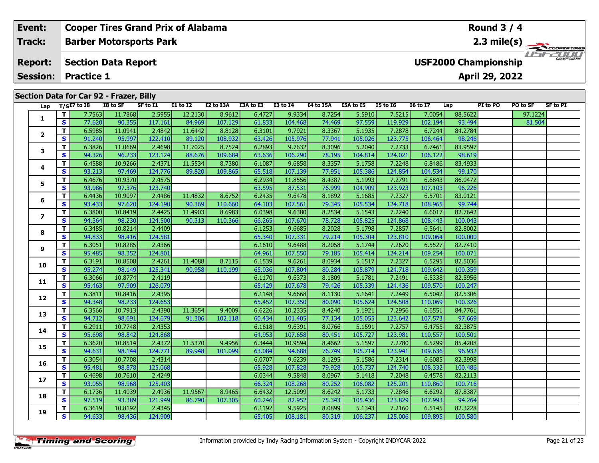| Event:          |    |                                         |          | <b>Cooper Tires Grand Prix of Alabama</b> |                 |           |           |              |           |           |                 |                 |                             | <b>Round 3 / 4</b> |          |             |
|-----------------|----|-----------------------------------------|----------|-------------------------------------------|-----------------|-----------|-----------|--------------|-----------|-----------|-----------------|-----------------|-----------------------------|--------------------|----------|-------------|
| Track:          |    |                                         |          | <b>Barber Motorsports Park</b>            |                 |           |           |              |           |           |                 |                 |                             | 2.3 mile(s) $-$    |          | COOPERTIRES |
| <b>Report:</b>  |    | <b>Section Data Report</b>              |          |                                           |                 |           |           |              |           |           |                 |                 | <b>USF2000 Championship</b> |                    |          |             |
| <b>Session:</b> |    | <b>Practice 1</b>                       |          |                                           |                 |           |           |              |           |           |                 |                 |                             | April 29, 2022     |          |             |
|                 |    |                                         |          |                                           |                 |           |           |              |           |           |                 |                 |                             |                    |          |             |
|                 |    | Section Data for Car 92 - Frazer, Billy |          |                                           |                 |           |           |              |           |           |                 |                 |                             |                    |          |             |
|                 |    | Lap $T/SI7$ to I8                       | I8 to SF | SF to I1                                  | <b>I1 to I2</b> | I2 to I3A | I3A to I3 | $I3$ to $I4$ | I4 to I5A | I5A to I5 | <b>I5 to 16</b> | <b>16 to 17</b> | Lap                         | PI to PO           | PO to SF | SF to PI    |
|                 |    | 7.7563                                  | 11.7868  | 2.5955                                    | 12.2130         | 8.9612    | 6.4727    | 9.9334       | 8.7254    | 5.5910    | 7.5215          | 7.0054          | 88.5622                     |                    | 97.1224  |             |
|                 | S. | 77.620                                  | 90.355   | 117.161                                   | 84.969          | 107.129   | 61.833    | 104.468      | 74.469    | 97.559    | 119.929         | 102.194         | 93.494                      |                    | 81.504   |             |
| $\overline{2}$  |    | 6.5985                                  | 11.0941  | 2.4842                                    | 11.6442         | 8.8128    | 6.3101    | 9.7921       | 8.3367    | 5.1935    | 7.2878          | 6.7244          | 84.2784                     |                    |          |             |
|                 | S. | 91.240                                  | 95.997   | 122.410                                   | 89.120          | 108.932   | 63.426    | 105.976      | 77.941    | 105.026   | 123.775         | 106.464         | 98.246                      |                    |          |             |
| 3               |    | 6.3826                                  | 11.0669  | 2.4698                                    | 11.7025         | 8.7524    | 6.2893    | 9.7632       | 8.3096    | 5.2040    | 7.2733          | 6.7461          | 83.9597                     |                    |          |             |
|                 | S. | 94.326                                  | 96.233   | 123.124                                   | 88.676          | 109.684   | 63.636    | 106.290      | 78.195    | 104.814   | 124.021         | 106.122         | 98.619                      |                    |          |             |

| Lap                      |                              | 1/51/1010        | 10 W JI           | <b>JE LU 11</b>   | 11 W 12 | 14 W 13M | 13A W 13         | 13 W 14           | 14 W 19M         | נו טו מכו         | 19 W 19           | 10 W 17           | ∟aµ                | <b>FIWFU</b> | וכ ש ט  | ƏF LU FI |
|--------------------------|------------------------------|------------------|-------------------|-------------------|---------|----------|------------------|-------------------|------------------|-------------------|-------------------|-------------------|--------------------|--------------|---------|----------|
|                          | $\mathbf{T}$                 | 7.7563           | 11.7868           | 2.5955            | 12.2130 | 8.9612   | 6.4727           | 9.9334            | 8.7254           | 5.5910            | 7.5215            | 7.0054            | 88.5622            |              | 97.1224 |          |
| 1                        | $\mathbf{s}$                 | 77.620           | 90.355            | 117.161           | 84.969  | 107.129  | 61.833           | 104.468           | 74.469           | 97.559            | 119.929           | 102.194           | 93.494             |              | 81.504  |          |
|                          | $\mathbf{T}$                 | 6.5985           | 11.0941           | 2.4842            | 11.6442 | 8.8128   | 6.3101           | 9.7921            | 8.3367           | 5.1935            | 7.2878            | 6.7244            | 84.2784            |              |         |          |
| $\mathbf{2}$             | <b>S</b>                     | 91.240           | 95.997            | 122.410           | 89.120  | 108.932  | 63.426           | 105.976           | 77.941           | 105.026           | 123.775           | 106.464           | 98.246             |              |         |          |
| 3                        | $\mathbf{T}$                 | 6.3826           | 11.0669           | 2.4698            | 11.7025 | 8.7524   | 6.2893           | 9.7632            | 8.3096           | 5.2040            | 7.2733            | 6.7461            | 83.9597            |              |         |          |
|                          | S                            | 94.326           | 96.233            | 123.124           | 88.676  | 109.684  | 63.636           | 106.290           | 78.195           | 104.814           | 124.021           | 106.122           | 98.619             |              |         |          |
| 4                        | T                            | 6.4588           | 10.9266           | 2.4371            | 11.5534 | 8.7380   | 6.1087           | 9.6858            | 8.3357           | 5.1758            | 7.2248            | 6.8486            | 83.4933            |              |         |          |
|                          | $\mathbf{s}$                 | 93.213           | 97.469            | 124.776           | 89.820  | 109.865  | 65.518           | 107.139           | 77.951           | 105.386           | 124.854           | 104.534           | 99.170             |              |         |          |
| 5                        | T                            | 6.4676           | 10.9370           | 2.4575            |         |          | 6.2934           | 11.8556           | 8.4387           | 5.1993            | 7.2791            | 6.6843            | 86.0472            |              |         |          |
|                          | $\overline{\mathbf{s}}$      | 93.086           | 97.376            | 123.740           |         |          | 63.595           | 87.531            | 76.999           | 104.909           | 123.923           | 107.103           | 96.226             |              |         |          |
| 6                        | $\overline{\mathbf{T}}$      | 6.4436           | 10.9097           | 2.4486            | 11.4832 | 8.6752   | 6.2435           | 9.6478            | 8.1892           | 5.1685            | 7.2327            | 6.5701            | 83.0121            |              |         |          |
|                          | S                            | 93.433           | 97.620            | 124.190           | 90.369  | 110.660  | 64.103           | 107.561           | 79.345           | 105.534           | 124.718           | 108.965           | 99.744             |              |         |          |
| $\overline{\phantom{a}}$ | $\overline{t}$               | 6.3800           | 10.8419           | 2.4425            | 11.4903 | 8.6983   | 6.0398           | 9.6380            | 8.2534           | 5.1543            | 7.2240            | 6.6017            | 82.7642            |              |         |          |
|                          | S                            | 94.364           | 98.230            | 124.500           | 90.313  | 110.366  | 66.265           | 107.670           | 78.728           | 105.825           | 124.868           | 108.443           | 100.043            |              |         |          |
| 8                        | T                            | 6.3485           | 10.8214           | 2.4409            |         |          | 6.1253           | 9.6685            | 8.2028           | 5.1798            | 7.2857            | 6.5641            | 82,8002            |              |         |          |
|                          | $\mathbf{s}$                 | 94.833           | 98.416            | 124.581           |         |          | 65.340           | 107.331           | 79.214           | 105.304           | 123.810           | 109.064           | 100.000            |              |         |          |
| 9                        | $\mathbf{T}$                 | 6.3051           | 10.8285           | 2.4366            |         |          | 6.1610           | 9.6488            | 8.2058           | 5.1744            | 7.2620            | 6.5527            | 82.7410            |              |         |          |
|                          | $\mathbf{s}$                 | 95.485           | 98.352            | 124.801           |         |          | 64.961           | 107.550           | 79.185           | 105.414           | 124.214           | 109.254           | 100.071            |              |         |          |
| 10                       | $\mathbf{T}$                 | 6.3191           | 10.8508           | 2.4261            | 11.4088 | 8.7115   | 6.1539           | 9.6261            | 8.0934           | 5.1517            | 7.2327            | 6.5295            | 82.5036            |              |         |          |
|                          | $\mathbf{s}$                 | 95.274           | 98.149            | 125.341           | 90.958  | 110.199  | 65.036           | 107.804           | 80.284           | 105.879           | 124.718           | 109.642           | 100.359            |              |         |          |
| 11                       | $\mathbf{T}$                 | 6.3066           | 10.8774           | 2.4119            |         |          | 6.1170           | 9.6373            | 8.1809           | 5.1781            | 7.2491            | 6.5338            | 82.5956            |              |         |          |
|                          | $\overline{\mathbf{s}}$      | 95.463           | 97.909            | 126.079           |         |          | 65.429           | 107.678           | 79.426           | 105.339           | 124.436           | 109.570           | 100.247            |              |         |          |
| 12                       | T                            | 6.3811           | 10.8416           | 2.4395            |         |          | 6.1148           | 9.6668            | 8.1130           | 5.1641            | 7.2449            | 6.5042            | 82.5306            |              |         |          |
|                          | $\overline{\mathbf{s}}$      | 94.348           | 98.233            | 124.653           |         |          | 65.452           | 107.350           | 80.090           | 105.624           | 124.508           | 110.069           | 100.326            |              |         |          |
| 13                       | $\mathbf T$                  | 6.3566           | 10.7913           | 2.4390            | 11.3654 | 9.4009   | 6.6226           | 10.2335           | 8.4240           | 5.1921            | 7.2956            | 6.6551            | 84.7761            |              |         |          |
|                          | $\mathbf{s}$                 | 94.712           | 98.691            | 124.679           | 91.306  | 102.118  | 60.434           | 101.405           | 77.134           | 105.055           | 123.642           | 107.573           | 97.669             |              |         |          |
| 14                       | $\mathbf{T}$                 | 6.2911           | 10.7748           | 2.4353            |         |          | 6.1618           | 9.6391            | 8.0766           | 5.1591            | 7.2757            | 6.4755            | 82.3875            |              |         |          |
|                          | S                            | 95.698           | 98.842            | 124.868           |         |          | 64.953           | 107.658           | 80.451           | 105.727           | 123.981           | 110.557           | 100.501            |              |         |          |
| 15                       | T<br>$\mathbf{s}$            | 6.3620           | 10.8514           | 2.4372            | 11.5370 | 9.4956   | 6.3444           | 10.9594           | 8.4662           | 5.1597            | 7.2780            | 6.5299            | 85.4208            |              |         |          |
|                          |                              | 94.631           | 98.144            | 124.771           | 89.948  | 101.099  | 63.084           | 94.688            | 76.749           | 105.714           | 123.941           | 109.636           | 96.932             |              |         |          |
| 16                       | $\mathbf{T}$<br>$\mathbf{s}$ | 6.3054<br>95.481 | 10.7708<br>98.878 | 2.4314<br>125.068 |         |          | 6.0707           | 9.6239            | 8.1295<br>79.928 | 5.1586<br>105.737 | 7.2314<br>124.740 | 6.6085<br>108.332 | 82.3998<br>100.486 |              |         |          |
|                          | $\overline{t}$               | 6.4698           | 10.7610           | 2.4249            |         |          | 65.928           | 107.828<br>9.5848 | 8.0967           | 5.1418            |                   |                   | 82.2113            |              |         |          |
| 17                       | S                            | 93.055           | 98.968            | 125.403           |         |          | 6.0344<br>66.324 | 108.268           | 80.252           | 106.082           | 7.2048<br>125.201 | 6.4578<br>110.860 | 100.716            |              |         |          |
|                          | $\overline{\mathbf{T}}$      | 6.1736           | 11.4039           | 2.4936            | 11.9567 | 8.9465   | 6.6432           | 12.5099           | 8.6242           | 5.1733            | 7.2846            | 6.6292            | 87.8387            |              |         |          |
| 18                       | S                            | 97.519           | 93.389            | 121.949           | 86.790  | 107.305  | 60.246           | 82.952            | 75.343           | 105.436           | 123.829           | 107.993           | 94.264             |              |         |          |
|                          | $\mathbf{T}$                 | 6.3619           | 10.8192           | 2.4345            |         |          | 6.1192           | 9.5925            | 8.0899           | 5.1343            | 7.2160            | 6.5145            | 82.3228            |              |         |          |
| 19                       | $\overline{\mathbf{s}}$      | 94.633           | 98.436            | 124.909           |         |          | 65.405           | 108.181           | 80.319           | 106.237           | 125.006           | 109.895           | 100.580            |              |         |          |
|                          |                              |                  |                   |                   |         |          |                  |                   |                  |                   |                   |                   |                    |              |         |          |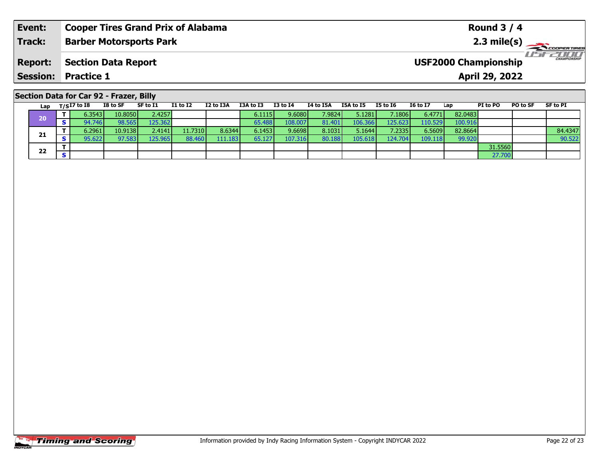| Event:                                  | <b>Cooper Tires Grand Prix of Alabama</b> |          |                                |                 |           |           |                 |           |           |          |                 |     | <b>Round 3 / 4</b>          |          |                          |
|-----------------------------------------|-------------------------------------------|----------|--------------------------------|-----------------|-----------|-----------|-----------------|-----------|-----------|----------|-----------------|-----|-----------------------------|----------|--------------------------|
| <b>Track:</b>                           |                                           |          | <b>Barber Motorsports Park</b> |                 |           |           |                 |           |           |          |                 |     |                             |          | $2.3 \text{ mile(s)}$    |
| <b>Report:</b>                          | <b>Section Data Report</b>                |          |                                |                 |           |           |                 |           |           |          |                 |     | <b>USF2000 Championship</b> |          | <b>LIST CHAMPIONSHIP</b> |
| <b>Session: Practice 1</b>              |                                           |          |                                |                 |           |           |                 |           |           |          |                 |     | April 29, 2022              |          |                          |
| Section Data for Car 92 - Frazer, Billy |                                           |          |                                |                 |           |           |                 |           |           |          |                 |     |                             |          |                          |
| Lap                                     | $_{\rm T/S}$ I7 to I8                     | I8 to SF | SF to I1                       | <b>I1 to I2</b> | I2 to I3A | I3A to I3 | <b>I3 to I4</b> | I4 to I5A | I5A to I5 | I5 to I6 | <b>I6 to I7</b> | Lap | PI to PO                    | PO to SF | SF to PI                 |

**<sup>T</sup>** 6.2961 10.9138 2.4141 11.7310 8.6344 6.1453 9.6698 8.1031 5.1644 7.2335 6.5609 82.8664 84.4347 **<sup>S</sup>** 95.622 97.583 125.965 88.460 111.183 65.127 107.316 80.188 105.618 124.704 109.118 99.920 90.522

**<sup>T</sup>** 6.3543 10.8050 2.4257 6.1115 9.6080 7.9824 5.1281 7.1806 6.4771 82.0483 **<sup>S</sup>** 94.746 98.565 125.362 65.488 108.007 81.401 106.366 125.623 110.529 100.916

**2 S S** 31.5560 **S** 32.7700

|                       | <b>Timing and Scoring</b> |
|-----------------------|---------------------------|
| <i><b>INDYCAR</b></i> |                           |

**20**

**21**

**22**